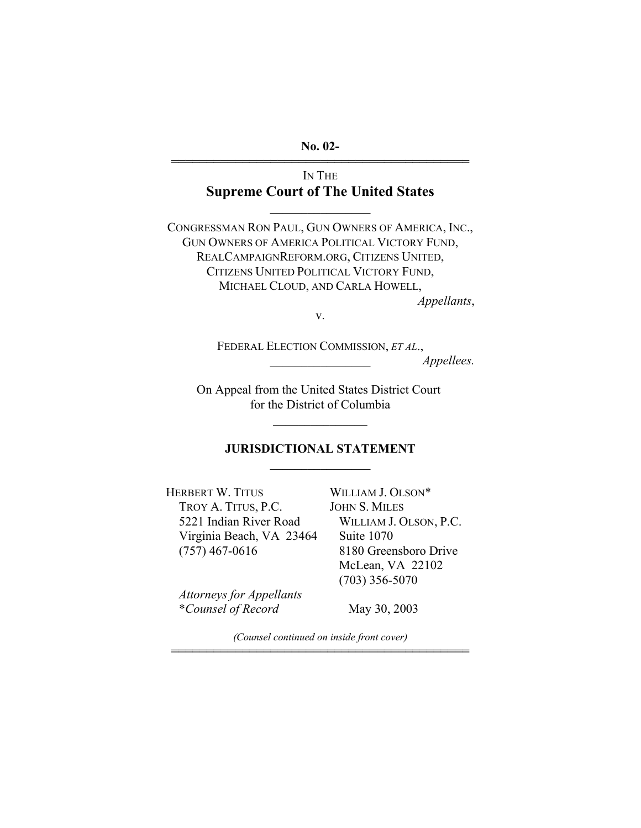**No. 02-** 444444444444444444444444444444444444444444

## IN THE **Supreme Court of The United States**

 $\frac{1}{2}$ 

CONGRESSMAN RON PAUL, GUN OWNERS OF AMERICA, INC., GUN OWNERS OF AMERICA POLITICAL VICTORY FUND, REALCAMPAIGNREFORM.ORG, CITIZENS UNITED, CITIZENS UNITED POLITICAL VICTORY FUND, MICHAEL CLOUD, AND CARLA HOWELL, *Appellants*,

v.

FEDERAL ELECTION COMMISSION, *ET AL*., \_\_\_\_\_\_\_\_\_\_\_\_\_\_\_\_ *Appellees.* 

On Appeal from the United States District Court for the District of Columbia

 $\mathcal{L}_\text{max}$ 

### **JURISDICTIONAL STATEMENT**   $\mathcal{L}_\text{max}$

HERBERT W. TITUS TROY A. TITUS, P.C. 5221 Indian River Road Virginia Beach, VA 23464 (757) 467-0616

*Attorneys for Appellants*  \**Counsel of Record* 

WILLIAM J. OLSON\* JOHN S. MILES WILLIAM J. OLSON, P.C. Suite 1070 8180 Greensboro Drive McLean, VA 22102 (703) 356-5070

May 30, 2003

*(Counsel continued on inside front cover)*  444444444444444444444444444444444444444444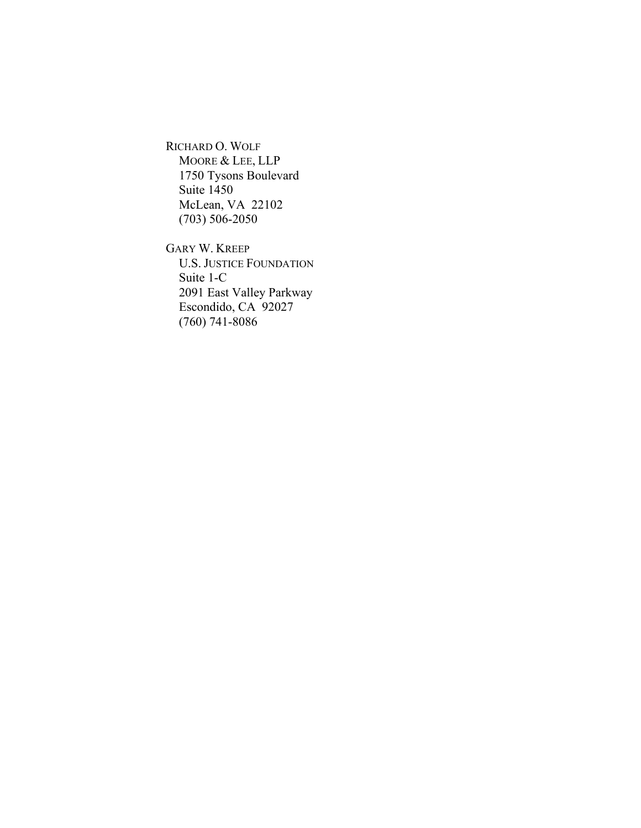RICHARD O. WOLF MOORE & LEE, LLP 1750 Tysons Boulevard Suite 1450 McLean, VA 22102 (703) 506-2050

GARY W. KREEP U.S. JUSTICE FOUNDATION Suite 1-C 2091 East Valley Parkway Escondido, CA 92027 (760) 741-8086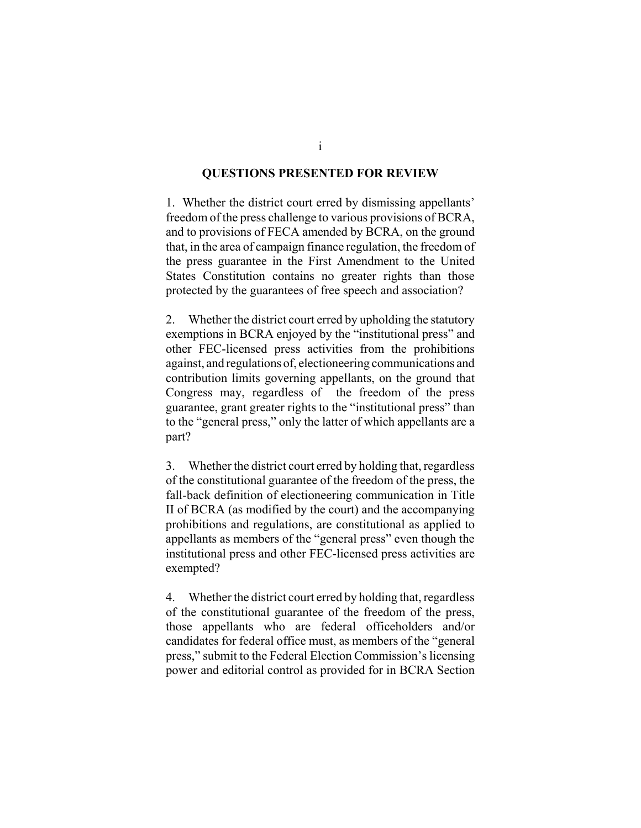#### **QUESTIONS PRESENTED FOR REVIEW**

1. Whether the district court erred by dismissing appellants' freedom of the press challenge to various provisions of BCRA, and to provisions of FECA amended by BCRA, on the ground that, in the area of campaign finance regulation, the freedom of the press guarantee in the First Amendment to the United States Constitution contains no greater rights than those protected by the guarantees of free speech and association?

2. Whether the district court erred by upholding the statutory exemptions in BCRA enjoyed by the "institutional press" and other FEC-licensed press activities from the prohibitions against, and regulations of, electioneering communications and contribution limits governing appellants, on the ground that Congress may, regardless of the freedom of the press guarantee, grant greater rights to the "institutional press" than to the "general press," only the latter of which appellants are a part?

3. Whether the district court erred by holding that, regardless of the constitutional guarantee of the freedom of the press, the fall-back definition of electioneering communication in Title II of BCRA (as modified by the court) and the accompanying prohibitions and regulations, are constitutional as applied to appellants as members of the "general press" even though the institutional press and other FEC-licensed press activities are exempted?

4. Whether the district court erred by holding that, regardless of the constitutional guarantee of the freedom of the press, those appellants who are federal officeholders and/or candidates for federal office must, as members of the "general press," submit to the Federal Election Commission's licensing power and editorial control as provided for in BCRA Section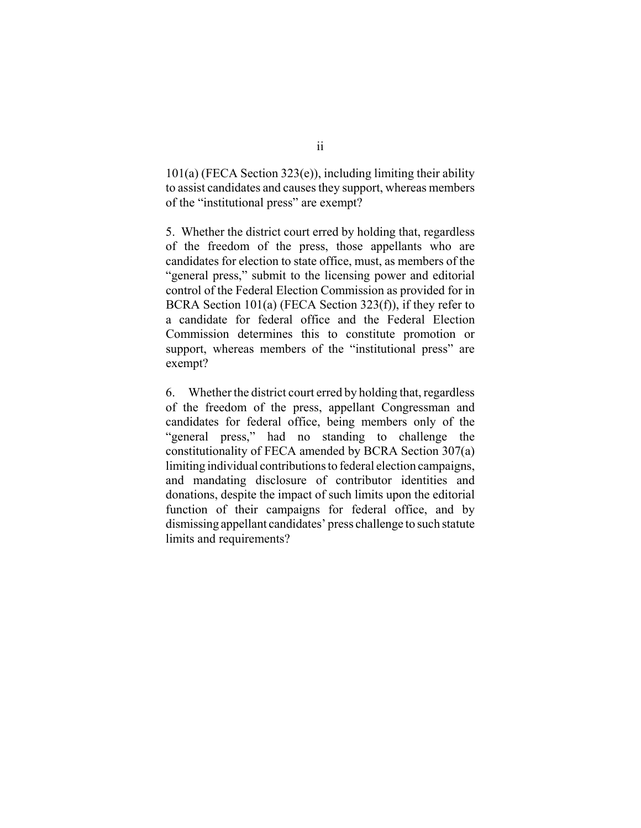$101(a)$  (FECA Section 323(e)), including limiting their ability to assist candidates and causes they support, whereas members of the "institutional press" are exempt?

5. Whether the district court erred by holding that, regardless of the freedom of the press, those appellants who are candidates for election to state office, must, as members of the "general press," submit to the licensing power and editorial control of the Federal Election Commission as provided for in BCRA Section 101(a) (FECA Section 323(f)), if they refer to a candidate for federal office and the Federal Election Commission determines this to constitute promotion or support, whereas members of the "institutional press" are exempt?

6. Whether the district court erred by holding that, regardless of the freedom of the press, appellant Congressman and candidates for federal office, being members only of the "general press," had no standing to challenge the constitutionality of FECA amended by BCRA Section 307(a) limiting individual contributions to federal election campaigns, and mandating disclosure of contributor identities and donations, despite the impact of such limits upon the editorial function of their campaigns for federal office, and by dismissing appellant candidates' press challenge to such statute limits and requirements?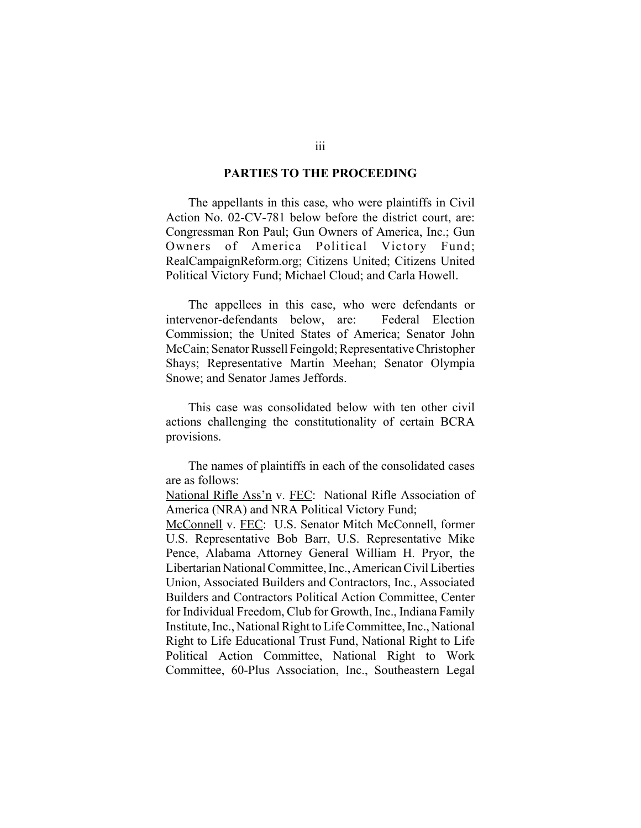#### **PARTIES TO THE PROCEEDING**

The appellants in this case, who were plaintiffs in Civil Action No. 02-CV-781 below before the district court, are: Congressman Ron Paul; Gun Owners of America, Inc.; Gun Owners of America Political Victory Fund; RealCampaignReform.org; Citizens United; Citizens United Political Victory Fund; Michael Cloud; and Carla Howell.

The appellees in this case, who were defendants or intervenor-defendants below, are: Federal Election Commission; the United States of America; Senator John McCain; Senator Russell Feingold; Representative Christopher Shays; Representative Martin Meehan; Senator Olympia Snowe; and Senator James Jeffords.

This case was consolidated below with ten other civil actions challenging the constitutionality of certain BCRA provisions.

The names of plaintiffs in each of the consolidated cases are as follows:

National Rifle Ass'n v. FEC: National Rifle Association of America (NRA) and NRA Political Victory Fund;

McConnell v. FEC: U.S. Senator Mitch McConnell, former U.S. Representative Bob Barr, U.S. Representative Mike Pence, Alabama Attorney General William H. Pryor, the Libertarian National Committee, Inc., American Civil Liberties Union, Associated Builders and Contractors, Inc., Associated Builders and Contractors Political Action Committee, Center for Individual Freedom, Club for Growth, Inc., Indiana Family Institute, Inc., National Right to Life Committee, Inc., National Right to Life Educational Trust Fund, National Right to Life Political Action Committee, National Right to Work Committee, 60-Plus Association, Inc., Southeastern Legal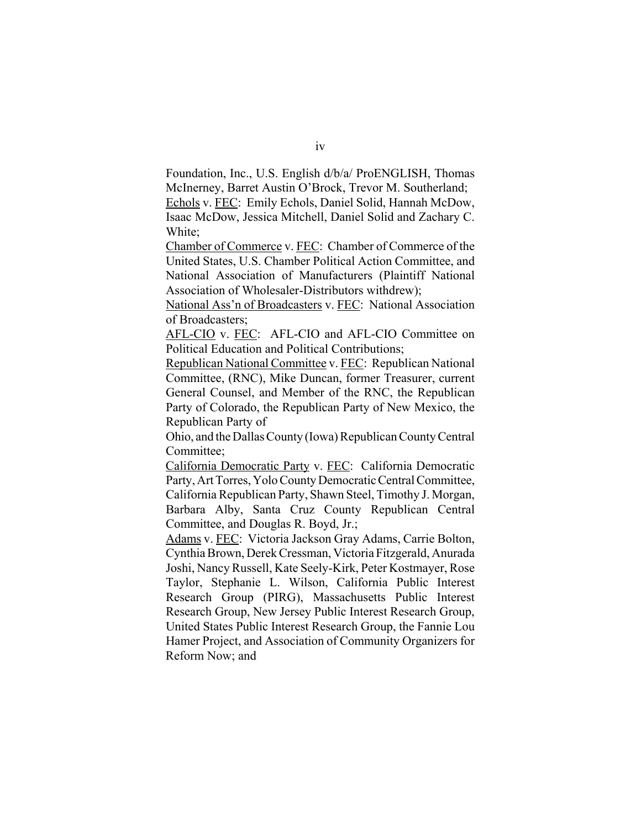Foundation, Inc., U.S. English d/b/a/ ProENGLISH, Thomas McInerney, Barret Austin O'Brock, Trevor M. Southerland; Echols v. FEC: Emily Echols, Daniel Solid, Hannah McDow,

Isaac McDow, Jessica Mitchell, Daniel Solid and Zachary C. White;

Chamber of Commerce v. FEC: Chamber of Commerce of the United States, U.S. Chamber Political Action Committee, and National Association of Manufacturers (Plaintiff National Association of Wholesaler-Distributors withdrew);

National Ass'n of Broadcasters v. FEC: National Association of Broadcasters;

AFL-CIO v. FEC: AFL-CIO and AFL-CIO Committee on Political Education and Political Contributions;

Republican National Committee v. FEC: Republican National Committee, (RNC), Mike Duncan, former Treasurer, current General Counsel, and Member of the RNC, the Republican Party of Colorado, the Republican Party of New Mexico, the Republican Party of

Ohio, and the Dallas County (Iowa) Republican County Central Committee;

California Democratic Party v. FEC: California Democratic Party, Art Torres, Yolo County Democratic Central Committee, California Republican Party, Shawn Steel, Timothy J. Morgan, Barbara Alby, Santa Cruz County Republican Central Committee, and Douglas R. Boyd, Jr.;

Adams v. FEC: Victoria Jackson Gray Adams, Carrie Bolton, Cynthia Brown, Derek Cressman, Victoria Fitzgerald, Anurada Joshi, Nancy Russell, Kate Seely-Kirk, Peter Kostmayer, Rose Taylor, Stephanie L. Wilson, California Public Interest Research Group (PIRG), Massachusetts Public Interest Research Group, New Jersey Public Interest Research Group, United States Public Interest Research Group, the Fannie Lou Hamer Project, and Association of Community Organizers for Reform Now; and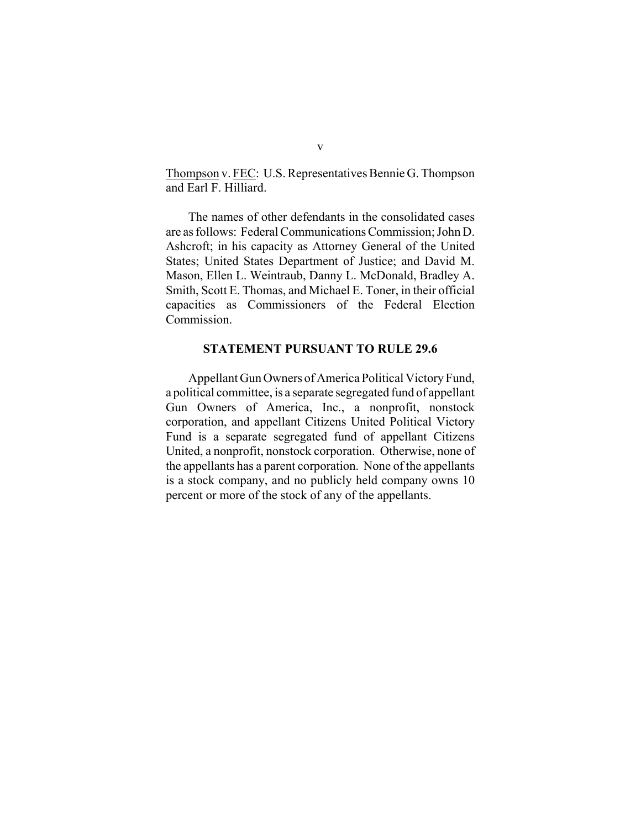Thompson v. FEC: U.S. Representatives Bennie G. Thompson and Earl F. Hilliard.

The names of other defendants in the consolidated cases are as follows: Federal Communications Commission; John D. Ashcroft; in his capacity as Attorney General of the United States; United States Department of Justice; and David M. Mason, Ellen L. Weintraub, Danny L. McDonald, Bradley A. Smith, Scott E. Thomas, and Michael E. Toner, in their official capacities as Commissioners of the Federal Election Commission.

#### **STATEMENT PURSUANT TO RULE 29.6**

Appellant Gun Owners of America Political Victory Fund, a political committee, is a separate segregated fund of appellant Gun Owners of America, Inc., a nonprofit, nonstock corporation, and appellant Citizens United Political Victory Fund is a separate segregated fund of appellant Citizens United, a nonprofit, nonstock corporation. Otherwise, none of the appellants has a parent corporation. None of the appellants is a stock company, and no publicly held company owns 10 percent or more of the stock of any of the appellants.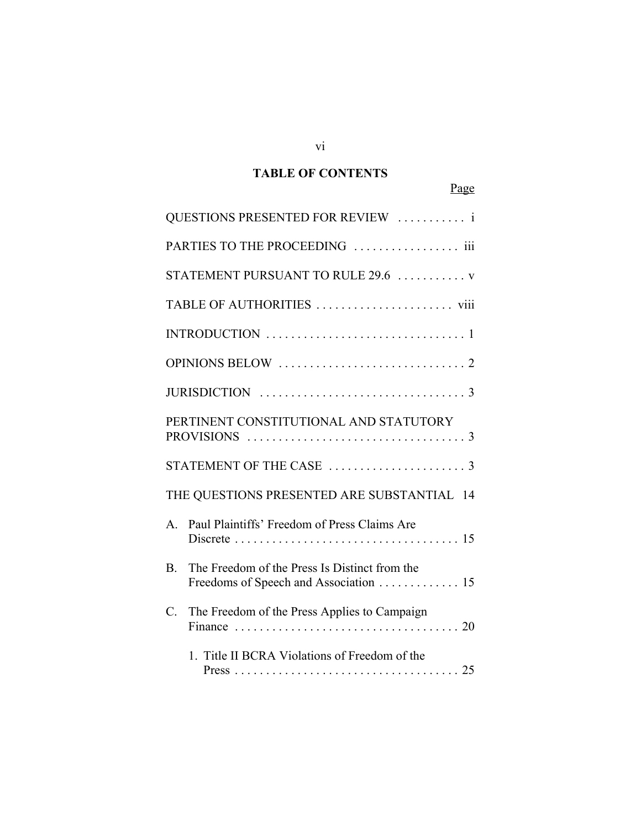## **TABLE OF CONTENTS**

## Page

|                 | QUESTIONS PRESENTED FOR REVIEW  i                                                                                                              |
|-----------------|------------------------------------------------------------------------------------------------------------------------------------------------|
|                 | PARTIES TO THE PROCEEDING  iii                                                                                                                 |
|                 | STATEMENT PURSUANT TO RULE 29.6  v                                                                                                             |
|                 |                                                                                                                                                |
|                 |                                                                                                                                                |
|                 |                                                                                                                                                |
|                 |                                                                                                                                                |
|                 | PERTINENT CONSTITUTIONAL AND STATUTORY                                                                                                         |
|                 |                                                                                                                                                |
|                 | THE QUESTIONS PRESENTED ARE SUBSTANTIAL 14                                                                                                     |
| $A_{-}$         | Paul Plaintiffs' Freedom of Press Claims Are<br>Discrete $\ldots \ldots \ldots \ldots \ldots \ldots \ldots \ldots \ldots \ldots \ldots \ldots$ |
| <b>B.</b>       | The Freedom of the Press Is Distinct from the<br>Freedoms of Speech and Association 15                                                         |
| $\mathcal{C}$ . | The Freedom of the Press Applies to Campaign                                                                                                   |
|                 | 1. Title II BCRA Violations of Freedom of the                                                                                                  |

vi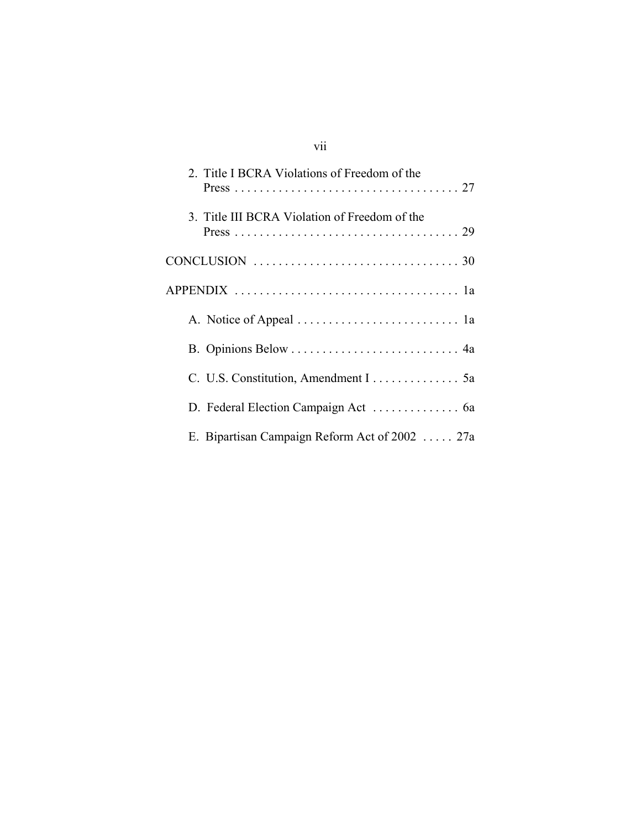# vii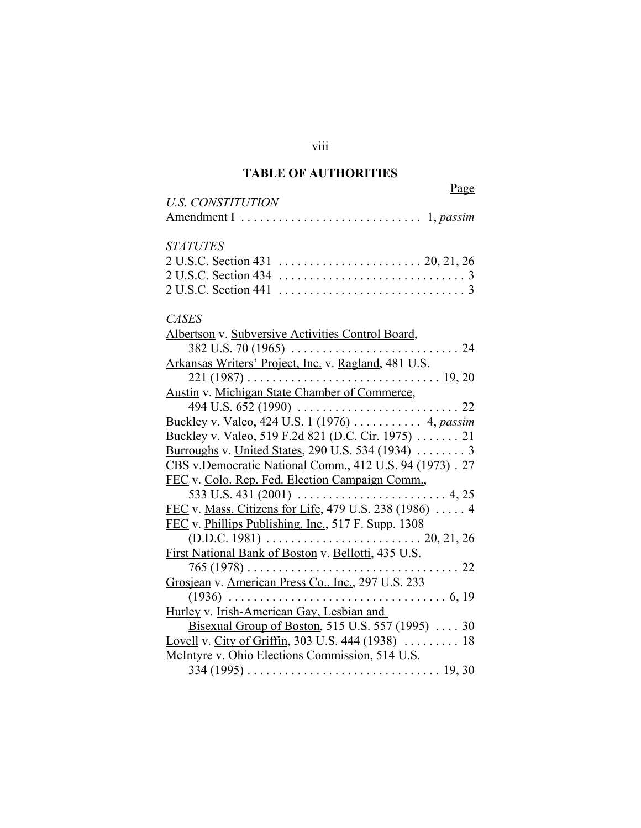## **TABLE OF AUTHORITIES**

viii

| <b>U.S. CONSTITUTION</b> |  |
|--------------------------|--|
|                          |  |

## *STATUTES*

## *CASES*

| Albertson v. Subversive Activities Control Board,                                         |
|-------------------------------------------------------------------------------------------|
|                                                                                           |
| Arkansas Writers' Project, Inc. v. Ragland, 481 U.S.                                      |
| $221 (1987) \ldots \ldots \ldots \ldots \ldots \ldots \ldots \ldots \ldots \ldots 19, 20$ |
| <b>Austin v. Michigan State Chamber of Commerce,</b>                                      |
|                                                                                           |
| Buckley v. Valeo, 424 U.S. 1 (1976)  4, passim                                            |
| Buckley v. Valeo, 519 F.2d 821 (D.C. Cir. 1975) 21                                        |
| <u>Burroughs</u> v. United States, 290 U.S. 534 (1934)  3                                 |
| CBS v.Democratic National Comm., 412 U.S. 94 (1973). 27                                   |
| FEC v. Colo. Rep. Fed. Election Campaign Comm.,                                           |
|                                                                                           |
| FEC v. Mass. Citizens for Life, 479 U.S. 238 (1986)  4                                    |
| FEC v. Phillips Publishing, Inc., 517 F. Supp. 1308                                       |
|                                                                                           |
| First National Bank of Boston v. Bellotti, 435 U.S.                                       |
| $765(1978)$<br>. 22                                                                       |
| Grosjean v. American Press Co., Inc., 297 U.S. 233                                        |
|                                                                                           |
| Hurley v. Irish-American Gay, Lesbian and                                                 |
| Bisexual Group of Boston, 515 U.S. 557 (1995)  30                                         |
| Lovell v. City of Griffin, 303 U.S. 444 (1938)  18                                        |
| McIntyre v. Ohio Elections Commission, 514 U.S.                                           |
| $334 (1995) \ldots \ldots \ldots \ldots \ldots \ldots \ldots \ldots \ldots \ldots 19, 30$ |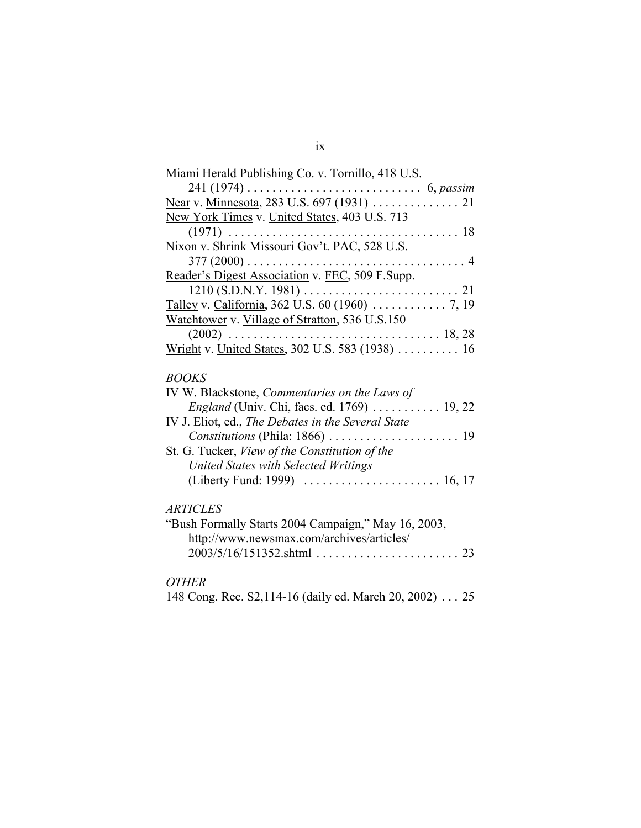| Miami Herald Publishing Co. v. Tornillo, 418 U.S.                                       |
|-----------------------------------------------------------------------------------------|
| $241 (1974) \ldots \ldots \ldots \ldots \ldots \ldots \ldots \ldots 6, p \text{ assim}$ |
|                                                                                         |
| New York Times v. United States, 403 U.S. 713                                           |
|                                                                                         |
| Nixon v. Shrink Missouri Gov't. PAC, 528 U.S.                                           |
|                                                                                         |
| Reader's Digest Association v. FEC, 509 F.Supp.                                         |
|                                                                                         |
|                                                                                         |
| Watchtower v. Village of Stratton, 536 U.S.150                                          |
|                                                                                         |
| Wright v. United States, 302 U.S. 583 (1938)  16                                        |
|                                                                                         |
| <b>BOOKS</b>                                                                            |
| IV W. Blackstone, Commentaries on the Laws of                                           |
| <i>England</i> (Univ. Chi, facs. ed. 1769) 19, 22                                       |
| IV J. Eliot, ed., The Debates in the Several State                                      |
|                                                                                         |
| St. G. Tucker, View of the Constitution of the                                          |
| United States with Selected Writings                                                    |
|                                                                                         |
|                                                                                         |
| <b>ARTICLES</b>                                                                         |
| "Bush Formally Starts 2004 Campaign," May 16, 2003,                                     |
| http://www.newsmax.com/archives/articles/                                               |
| $2003/5/16/151352$ .shtml<br>23                                                         |
|                                                                                         |
| <b>OTHER</b>                                                                            |

148 Cong. Rec. S2,114-16 (daily ed. March 20, 2002) . . . 25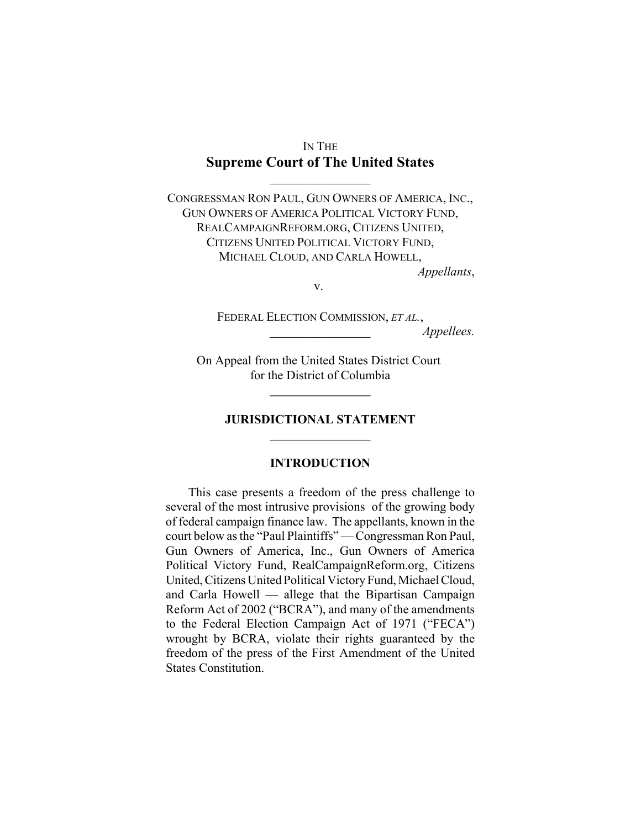## IN THE **Supreme Court of The United States**

 $\frac{1}{2}$ 

CONGRESSMAN RON PAUL, GUN OWNERS OF AMERICA, INC., GUN OWNERS OF AMERICA POLITICAL VICTORY FUND, REALCAMPAIGNREFORM.ORG, CITIZENS UNITED, CITIZENS UNITED POLITICAL VICTORY FUND, MICHAEL CLOUD, AND CARLA HOWELL, *Appellants*,

v.

FEDERAL ELECTION COMMISSION, *ET AL.*, \_\_\_\_\_\_\_\_\_\_\_\_\_\_\_\_ *Appellees.* 

On Appeal from the United States District Court for the District of Columbia

**\_\_\_\_\_\_\_\_\_\_\_\_\_\_\_\_** 

#### **JURISDICTIONAL STATEMENT**   $\frac{1}{2}$

#### **INTRODUCTION**

This case presents a freedom of the press challenge to several of the most intrusive provisions of the growing body of federal campaign finance law. The appellants, known in the court below as the "Paul Plaintiffs" — Congressman Ron Paul, Gun Owners of America, Inc., Gun Owners of America Political Victory Fund, RealCampaignReform.org, Citizens United, Citizens United Political Victory Fund, Michael Cloud, and Carla Howell — allege that the Bipartisan Campaign Reform Act of 2002 ("BCRA"), and many of the amendments to the Federal Election Campaign Act of 1971 ("FECA") wrought by BCRA, violate their rights guaranteed by the freedom of the press of the First Amendment of the United States Constitution.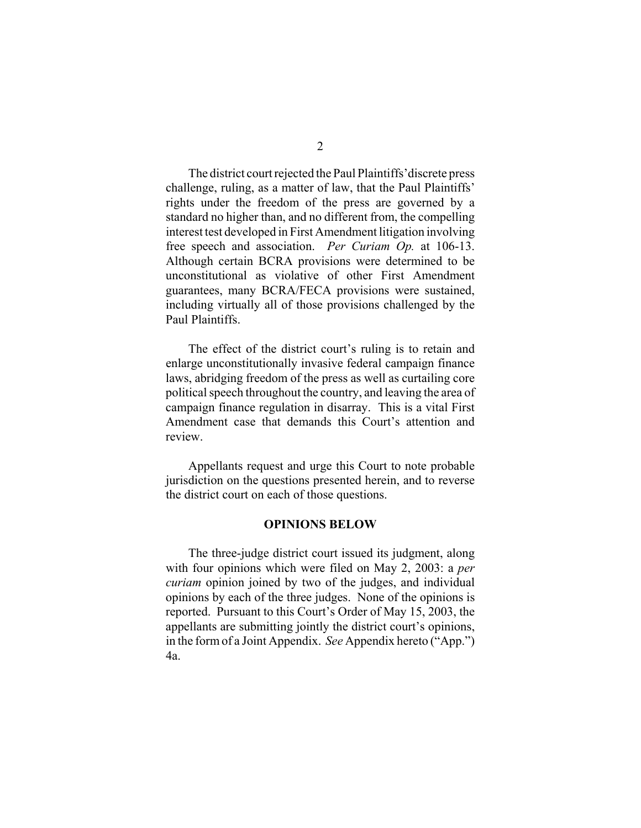The district court rejected the Paul Plaintiffs'discrete press challenge, ruling, as a matter of law, that the Paul Plaintiffs' rights under the freedom of the press are governed by a standard no higher than, and no different from, the compelling interest test developed in First Amendment litigation involving free speech and association. *Per Curiam Op.* at 106-13. Although certain BCRA provisions were determined to be unconstitutional as violative of other First Amendment guarantees, many BCRA/FECA provisions were sustained, including virtually all of those provisions challenged by the Paul Plaintiffs.

The effect of the district court's ruling is to retain and enlarge unconstitutionally invasive federal campaign finance laws, abridging freedom of the press as well as curtailing core political speech throughout the country, and leaving the area of campaign finance regulation in disarray. This is a vital First Amendment case that demands this Court's attention and review.

Appellants request and urge this Court to note probable jurisdiction on the questions presented herein, and to reverse the district court on each of those questions.

#### **OPINIONS BELOW**

The three-judge district court issued its judgment, along with four opinions which were filed on May 2, 2003: a *per curiam* opinion joined by two of the judges, and individual opinions by each of the three judges. None of the opinions is reported. Pursuant to this Court's Order of May 15, 2003, the appellants are submitting jointly the district court's opinions, in the form of a Joint Appendix. *See* Appendix hereto ("App.") 4a.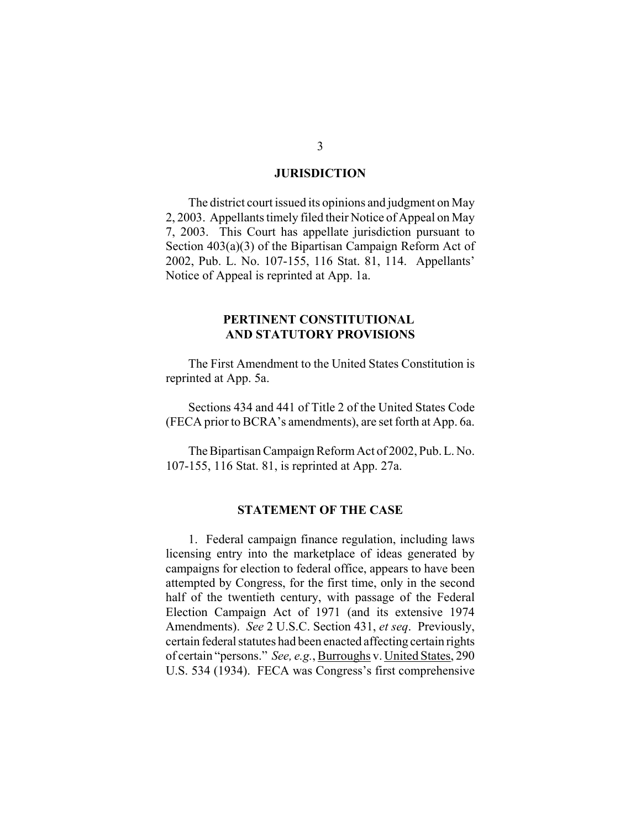#### **JURISDICTION**

The district court issued its opinions and judgment on May 2, 2003. Appellants timely filed their Notice of Appeal on May 7, 2003. This Court has appellate jurisdiction pursuant to Section 403(a)(3) of the Bipartisan Campaign Reform Act of 2002, Pub. L. No. 107-155, 116 Stat. 81, 114. Appellants' Notice of Appeal is reprinted at App. 1a.

#### **PERTINENT CONSTITUTIONAL AND STATUTORY PROVISIONS**

The First Amendment to the United States Constitution is reprinted at App. 5a.

Sections 434 and 441 of Title 2 of the United States Code (FECA prior to BCRA's amendments), are set forth at App. 6a.

The Bipartisan Campaign Reform Act of 2002, Pub. L. No. 107-155, 116 Stat. 81, is reprinted at App. 27a.

#### **STATEMENT OF THE CASE**

1. Federal campaign finance regulation, including laws licensing entry into the marketplace of ideas generated by campaigns for election to federal office, appears to have been attempted by Congress, for the first time, only in the second half of the twentieth century, with passage of the Federal Election Campaign Act of 1971 (and its extensive 1974 Amendments). *See* 2 U.S.C. Section 431, *et seq*. Previously, certain federal statutes had been enacted affecting certain rights of certain "persons." *See, e.g.*, Burroughs v. United States, 290 U.S. 534 (1934). FECA was Congress's first comprehensive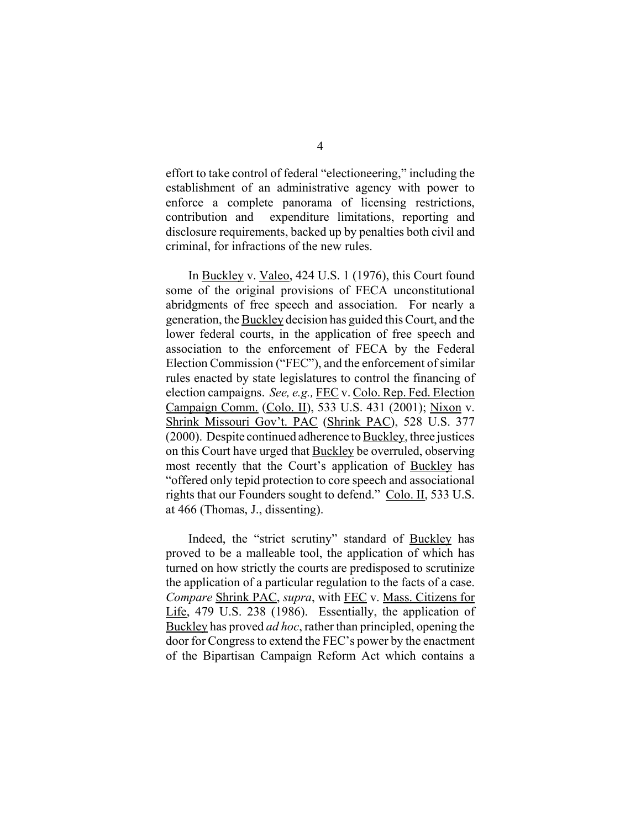effort to take control of federal "electioneering," including the establishment of an administrative agency with power to enforce a complete panorama of licensing restrictions, contribution and expenditure limitations, reporting and disclosure requirements, backed up by penalties both civil and criminal, for infractions of the new rules.

In Buckley v. Valeo, 424 U.S. 1 (1976), this Court found some of the original provisions of FECA unconstitutional abridgments of free speech and association. For nearly a generation, the Buckley decision has guided this Court, and the lower federal courts, in the application of free speech and association to the enforcement of FECA by the Federal Election Commission ("FEC"), and the enforcement of similar rules enacted by state legislatures to control the financing of election campaigns. *See, e.g.,* FEC v. Colo. Rep. Fed. Election Campaign Comm. (Colo. II), 533 U.S. 431 (2001); Nixon v. Shrink Missouri Gov't. PAC (Shrink PAC), 528 U.S. 377 (2000). Despite continued adherence to Buckley, three justices on this Court have urged that Buckley be overruled, observing most recently that the Court's application of Buckley has "offered only tepid protection to core speech and associational rights that our Founders sought to defend." Colo. II, 533 U.S. at 466 (Thomas, J., dissenting).

Indeed, the "strict scrutiny" standard of Buckley has proved to be a malleable tool, the application of which has turned on how strictly the courts are predisposed to scrutinize the application of a particular regulation to the facts of a case. *Compare* Shrink PAC, *supra*, with FEC v. Mass. Citizens for Life, 479 U.S. 238 (1986). Essentially, the application of Buckley has proved *ad hoc*, rather than principled, opening the door for Congress to extend the FEC's power by the enactment of the Bipartisan Campaign Reform Act which contains a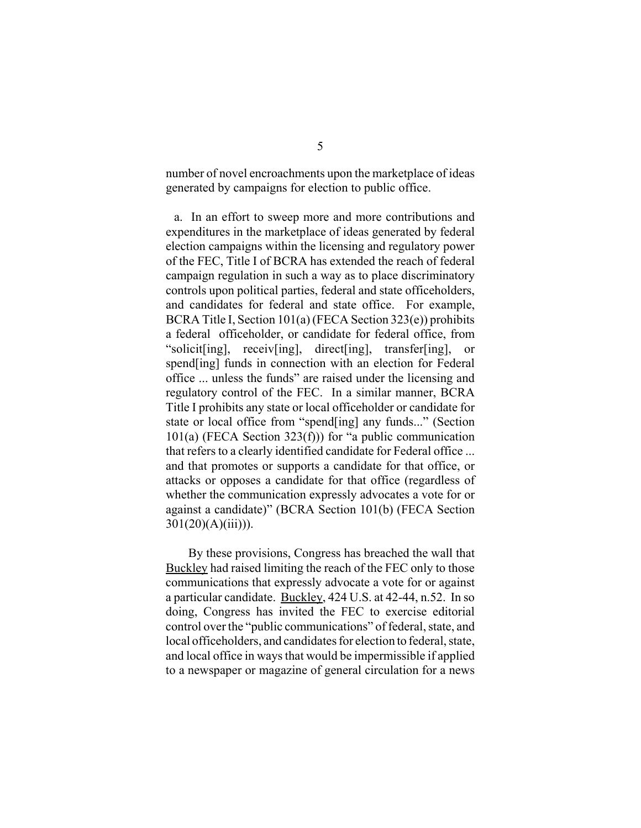number of novel encroachments upon the marketplace of ideas generated by campaigns for election to public office.

a. In an effort to sweep more and more contributions and expenditures in the marketplace of ideas generated by federal election campaigns within the licensing and regulatory power of the FEC, Title I of BCRA has extended the reach of federal campaign regulation in such a way as to place discriminatory controls upon political parties, federal and state officeholders, and candidates for federal and state office. For example, BCRA Title I, Section 101(a) (FECA Section 323(e)) prohibits a federal officeholder, or candidate for federal office, from "solicit[ing], receiv[ing], direct[ing], transfer[ing], or spend[ing] funds in connection with an election for Federal office ... unless the funds" are raised under the licensing and regulatory control of the FEC. In a similar manner, BCRA Title I prohibits any state or local officeholder or candidate for state or local office from "spend[ing] any funds..." (Section  $101(a)$  (FECA Section 323(f))) for "a public communication that refers to a clearly identified candidate for Federal office ... and that promotes or supports a candidate for that office, or attacks or opposes a candidate for that office (regardless of whether the communication expressly advocates a vote for or against a candidate)" (BCRA Section 101(b) (FECA Section  $301(20)(A)(iii))$ .

By these provisions, Congress has breached the wall that Buckley had raised limiting the reach of the FEC only to those communications that expressly advocate a vote for or against a particular candidate. Buckley, 424 U.S. at 42-44, n.52. In so doing, Congress has invited the FEC to exercise editorial control over the "public communications" of federal, state, and local officeholders, and candidates for election to federal, state, and local office in ways that would be impermissible if applied to a newspaper or magazine of general circulation for a news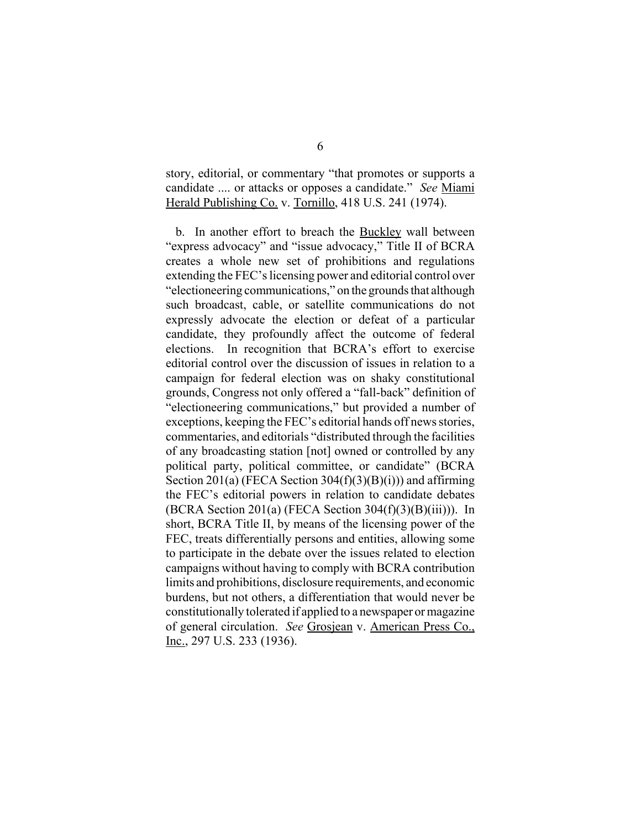story, editorial, or commentary "that promotes or supports a candidate .... or attacks or opposes a candidate." *See* Miami Herald Publishing Co. v. Tornillo, 418 U.S. 241 (1974).

b. In another effort to breach the Buckley wall between "express advocacy" and "issue advocacy," Title II of BCRA creates a whole new set of prohibitions and regulations extending the FEC's licensing power and editorial control over "electioneering communications," on the grounds that although such broadcast, cable, or satellite communications do not expressly advocate the election or defeat of a particular candidate, they profoundly affect the outcome of federal elections. In recognition that BCRA's effort to exercise editorial control over the discussion of issues in relation to a campaign for federal election was on shaky constitutional grounds, Congress not only offered a "fall-back" definition of "electioneering communications," but provided a number of exceptions, keeping the FEC's editorial hands off news stories, commentaries, and editorials "distributed through the facilities of any broadcasting station [not] owned or controlled by any political party, political committee, or candidate" (BCRA Section 201(a) (FECA Section 304 $(f)(3)(B)(i)$ ) and affirming the FEC's editorial powers in relation to candidate debates (BCRA Section 201(a) (FECA Section  $304(f)(3)(B)(iii)$ )). In short, BCRA Title II, by means of the licensing power of the FEC, treats differentially persons and entities, allowing some to participate in the debate over the issues related to election campaigns without having to comply with BCRA contribution limits and prohibitions, disclosure requirements, and economic burdens, but not others, a differentiation that would never be constitutionally tolerated if applied to a newspaper or magazine of general circulation. *See* Grosjean v. American Press Co., Inc., 297 U.S. 233 (1936).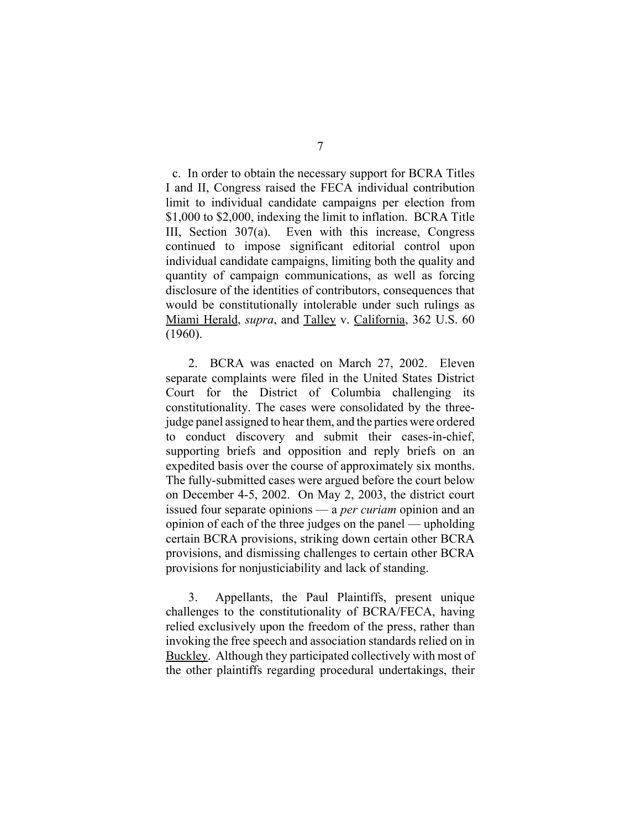c. In order to obtain the necessary support for BCRA Titles I and II, Congress raised the FECA individual contribution limit to individual candidate campaigns per election from \$1,000 to \$2,000, indexing the limit to inflation. BCRA Title III, Section 307(a). Even with this increase, Congress continued to impose significant editorial control upon individual candidate campaigns, limiting both the quality and quantity of campaign communications, as well as forcing disclosure of the identities of contributors, consequences that would be constitutionally intolerable under such rulings as Miami Herald, *supra*, and Talley v. California, 362 U.S. 60 (1960).

2. BCRA was enacted on March 27, 2002. Eleven separate complaints were filed in the United States District Court for the District of Columbia challenging its constitutionality. The cases were consolidated by the threejudge panel assigned to hear them, and the parties were ordered to conduct discovery and submit their cases-in-chief, supporting briefs and opposition and reply briefs on an expedited basis over the course of approximately six months. The fully-submitted cases were argued before the court below on December 4-5, 2002. On May 2, 2003, the district court issued four separate opinions — a *per curiam* opinion and an opinion of each of the three judges on the panel — upholding certain BCRA provisions, striking down certain other BCRA provisions, and dismissing challenges to certain other BCRA provisions for nonjusticiability and lack of standing.

3. Appellants, the Paul Plaintiffs, present unique challenges to the constitutionality of BCRA/FECA, having relied exclusively upon the freedom of the press, rather than invoking the free speech and association standards relied on in Buckley. Although they participated collectively with most of the other plaintiffs regarding procedural undertakings, their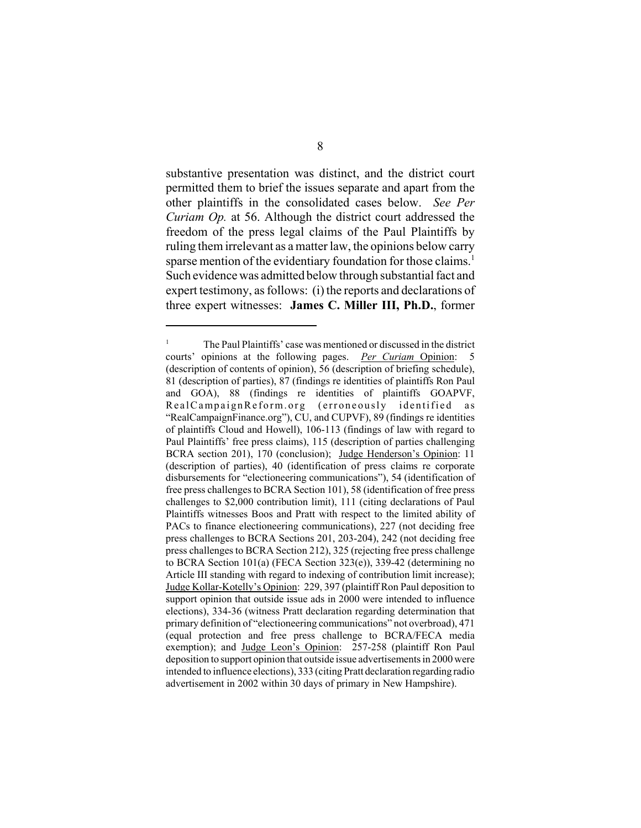substantive presentation was distinct, and the district court permitted them to brief the issues separate and apart from the other plaintiffs in the consolidated cases below. *See Per Curiam Op.* at 56. Although the district court addressed the freedom of the press legal claims of the Paul Plaintiffs by ruling them irrelevant as a matter law, the opinions below carry sparse mention of the evidentiary foundation for those claims. 1 Such evidence was admitted below through substantial fact and expert testimony, as follows: (i) the reports and declarations of three expert witnesses: **James C. Miller III, Ph.D.**, former

<sup>&</sup>lt;sup>1</sup> The Paul Plaintiffs' case was mentioned or discussed in the district courts' opinions at the following pages. *Per Curiam* Opinion: 5 (description of contents of opinion), 56 (description of briefing schedule), 81 (description of parties), 87 (findings re identities of plaintiffs Ron Paul and GOA), 88 (findings re identities of plaintiffs GOAPVF, RealCampaignReform.org (erroneously identified as "RealCampaignFinance.org"), CU, and CUPVF), 89 (findings re identities of plaintiffs Cloud and Howell), 106-113 (findings of law with regard to Paul Plaintiffs' free press claims), 115 (description of parties challenging BCRA section 201), 170 (conclusion); Judge Henderson's Opinion: 11 (description of parties), 40 (identification of press claims re corporate disbursements for "electioneering communications"), 54 (identification of free press challenges to BCRA Section 101), 58 (identification of free press challenges to \$2,000 contribution limit), 111 (citing declarations of Paul Plaintiffs witnesses Boos and Pratt with respect to the limited ability of PACs to finance electioneering communications), 227 (not deciding free press challenges to BCRA Sections 201, 203-204), 242 (not deciding free press challenges to BCRA Section 212), 325 (rejecting free press challenge to BCRA Section 101(a) (FECA Section 323(e)), 339-42 (determining no Article III standing with regard to indexing of contribution limit increase); Judge Kollar-Kotelly's Opinion: 229, 397 (plaintiff Ron Paul deposition to support opinion that outside issue ads in 2000 were intended to influence elections), 334-36 (witness Pratt declaration regarding determination that primary definition of "electioneering communications" not overbroad), 471 (equal protection and free press challenge to BCRA/FECA media exemption); and Judge Leon's Opinion: 257-258 (plaintiff Ron Paul deposition to support opinion that outside issue advertisements in 2000 were intended to influence elections), 333 (citing Pratt declaration regarding radio advertisement in 2002 within 30 days of primary in New Hampshire).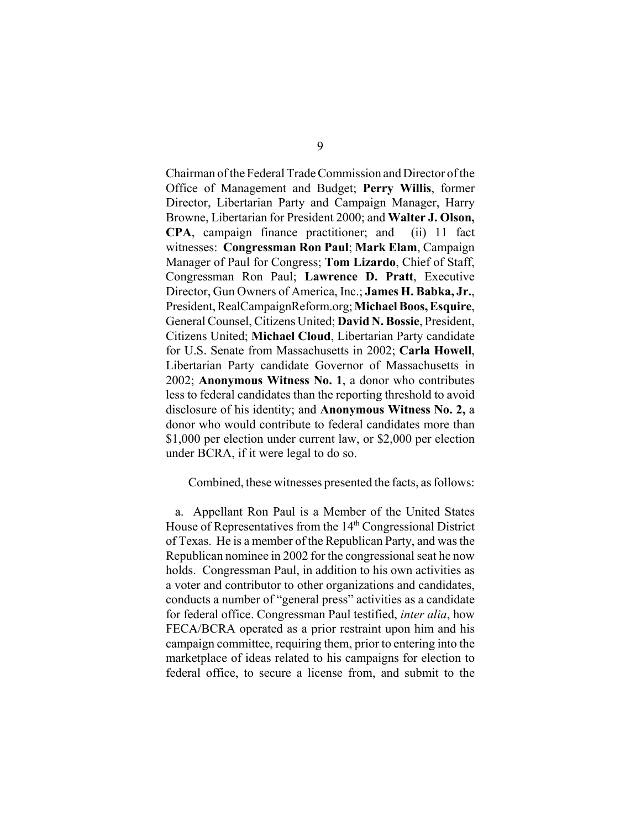Chairman of the Federal Trade Commission and Director of the Office of Management and Budget; **Perry Willis**, former Director, Libertarian Party and Campaign Manager, Harry Browne, Libertarian for President 2000; and **Walter J. Olson, CPA**, campaign finance practitioner; and (ii) 11 fact witnesses: **Congressman Ron Paul**; **Mark Elam**, Campaign Manager of Paul for Congress; **Tom Lizardo**, Chief of Staff, Congressman Ron Paul; **Lawrence D. Pratt**, Executive Director, Gun Owners of America, Inc.; **James H. Babka, Jr.**, President, RealCampaignReform.org; **Michael Boos, Esquire**, General Counsel, Citizens United; **David N. Bossie**, President, Citizens United; **Michael Cloud**, Libertarian Party candidate for U.S. Senate from Massachusetts in 2002; **Carla Howell**, Libertarian Party candidate Governor of Massachusetts in 2002; **Anonymous Witness No. 1**, a donor who contributes less to federal candidates than the reporting threshold to avoid disclosure of his identity; and **Anonymous Witness No. 2,** a donor who would contribute to federal candidates more than \$1,000 per election under current law, or \$2,000 per election under BCRA, if it were legal to do so.

Combined, these witnesses presented the facts, as follows:

a. Appellant Ron Paul is a Member of the United States House of Representatives from the 14<sup>th</sup> Congressional District of Texas. He is a member of the Republican Party, and was the Republican nominee in 2002 for the congressional seat he now holds. Congressman Paul, in addition to his own activities as a voter and contributor to other organizations and candidates, conducts a number of "general press" activities as a candidate for federal office. Congressman Paul testified, *inter alia*, how FECA/BCRA operated as a prior restraint upon him and his campaign committee, requiring them, prior to entering into the marketplace of ideas related to his campaigns for election to federal office, to secure a license from, and submit to the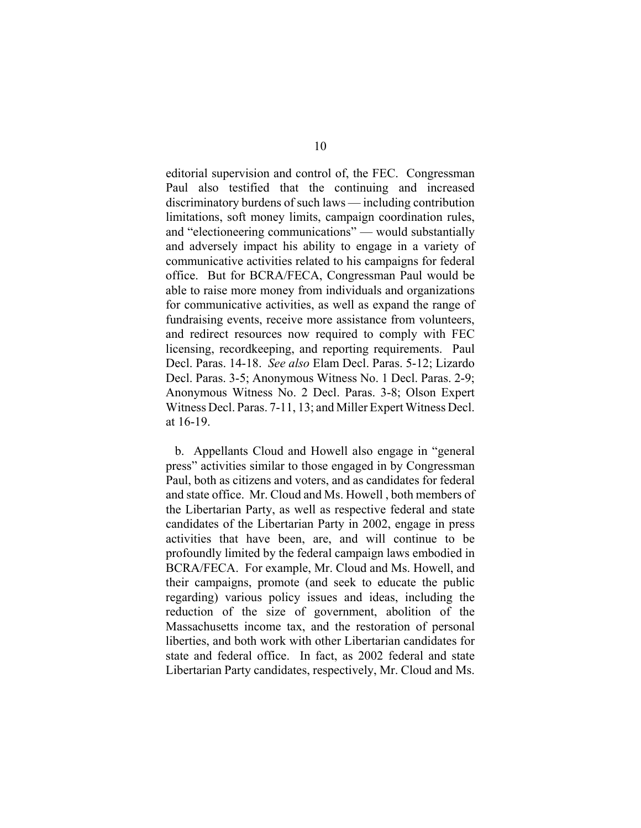editorial supervision and control of, the FEC. Congressman Paul also testified that the continuing and increased discriminatory burdens of such laws — including contribution limitations, soft money limits, campaign coordination rules, and "electioneering communications" — would substantially and adversely impact his ability to engage in a variety of communicative activities related to his campaigns for federal office. But for BCRA/FECA, Congressman Paul would be able to raise more money from individuals and organizations for communicative activities, as well as expand the range of fundraising events, receive more assistance from volunteers, and redirect resources now required to comply with FEC licensing, recordkeeping, and reporting requirements. Paul Decl. Paras. 14-18. *See also* Elam Decl. Paras. 5-12; Lizardo Decl. Paras. 3-5; Anonymous Witness No. 1 Decl. Paras. 2-9; Anonymous Witness No. 2 Decl. Paras. 3-8; Olson Expert Witness Decl. Paras. 7-11, 13; and Miller Expert Witness Decl. at 16-19.

b. Appellants Cloud and Howell also engage in "general press" activities similar to those engaged in by Congressman Paul, both as citizens and voters, and as candidates for federal and state office. Mr. Cloud and Ms. Howell , both members of the Libertarian Party, as well as respective federal and state candidates of the Libertarian Party in 2002, engage in press activities that have been, are, and will continue to be profoundly limited by the federal campaign laws embodied in BCRA/FECA. For example, Mr. Cloud and Ms. Howell, and their campaigns, promote (and seek to educate the public regarding) various policy issues and ideas, including the reduction of the size of government, abolition of the Massachusetts income tax, and the restoration of personal liberties, and both work with other Libertarian candidates for state and federal office. In fact, as 2002 federal and state Libertarian Party candidates, respectively, Mr. Cloud and Ms.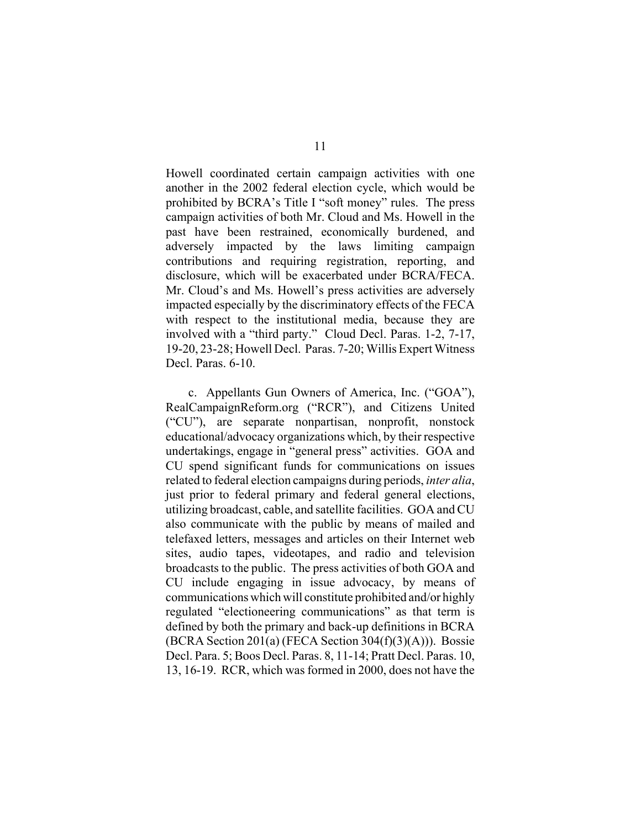Howell coordinated certain campaign activities with one another in the 2002 federal election cycle, which would be prohibited by BCRA's Title I "soft money" rules. The press campaign activities of both Mr. Cloud and Ms. Howell in the past have been restrained, economically burdened, and adversely impacted by the laws limiting campaign contributions and requiring registration, reporting, and disclosure, which will be exacerbated under BCRA/FECA. Mr. Cloud's and Ms. Howell's press activities are adversely impacted especially by the discriminatory effects of the FECA with respect to the institutional media, because they are involved with a "third party." Cloud Decl. Paras. 1-2, 7-17, 19-20, 23-28; Howell Decl. Paras. 7-20; Willis Expert Witness Decl. Paras. 6-10.

c. Appellants Gun Owners of America, Inc. ("GOA"), RealCampaignReform.org ("RCR"), and Citizens United ("CU"), are separate nonpartisan, nonprofit, nonstock educational/advocacy organizations which, by their respective undertakings, engage in "general press" activities. GOA and CU spend significant funds for communications on issues related to federal election campaigns during periods, *inter alia*, just prior to federal primary and federal general elections, utilizing broadcast, cable, and satellite facilities. GOA and CU also communicate with the public by means of mailed and telefaxed letters, messages and articles on their Internet web sites, audio tapes, videotapes, and radio and television broadcasts to the public. The press activities of both GOA and CU include engaging in issue advocacy, by means of communications which will constitute prohibited and/or highly regulated "electioneering communications" as that term is defined by both the primary and back-up definitions in BCRA  $(BCRA Section 201(a) (FECA Section 304(f)(3)(A)))$ . Bossie Decl. Para. 5; Boos Decl. Paras. 8, 11-14; Pratt Decl. Paras. 10, 13, 16-19. RCR, which was formed in 2000, does not have the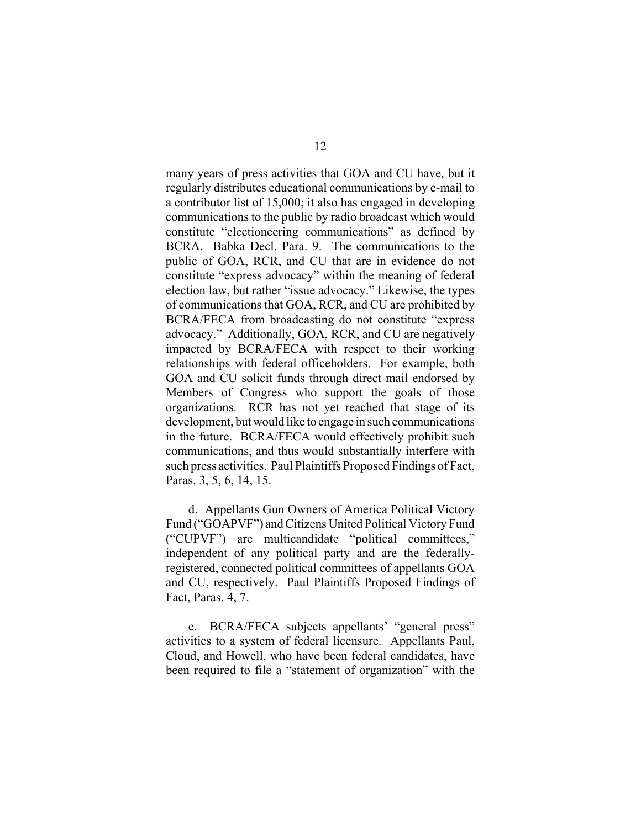many years of press activities that GOA and CU have, but it regularly distributes educational communications by e-mail to a contributor list of 15,000; it also has engaged in developing communications to the public by radio broadcast which would constitute "electioneering communications" as defined by BCRA. Babka Decl. Para. 9. The communications to the public of GOA, RCR, and CU that are in evidence do not constitute "express advocacy" within the meaning of federal election law, but rather "issue advocacy." Likewise, the types of communications that GOA, RCR, and CU are prohibited by BCRA/FECA from broadcasting do not constitute "express advocacy." Additionally, GOA, RCR, and CU are negatively impacted by BCRA/FECA with respect to their working relationships with federal officeholders. For example, both GOA and CU solicit funds through direct mail endorsed by Members of Congress who support the goals of those organizations. RCR has not yet reached that stage of its development, but would like to engage in such communications in the future. BCRA/FECA would effectively prohibit such communications, and thus would substantially interfere with such press activities. Paul Plaintiffs Proposed Findings of Fact, Paras. 3, 5, 6, 14, 15.

d. Appellants Gun Owners of America Political Victory Fund ("GOAPVF") and Citizens United Political Victory Fund ("CUPVF") are multicandidate "political committees," independent of any political party and are the federallyregistered, connected political committees of appellants GOA and CU, respectively. Paul Plaintiffs Proposed Findings of Fact, Paras. 4, 7.

e. BCRA/FECA subjects appellants' "general press" activities to a system of federal licensure. Appellants Paul, Cloud, and Howell, who have been federal candidates, have been required to file a "statement of organization" with the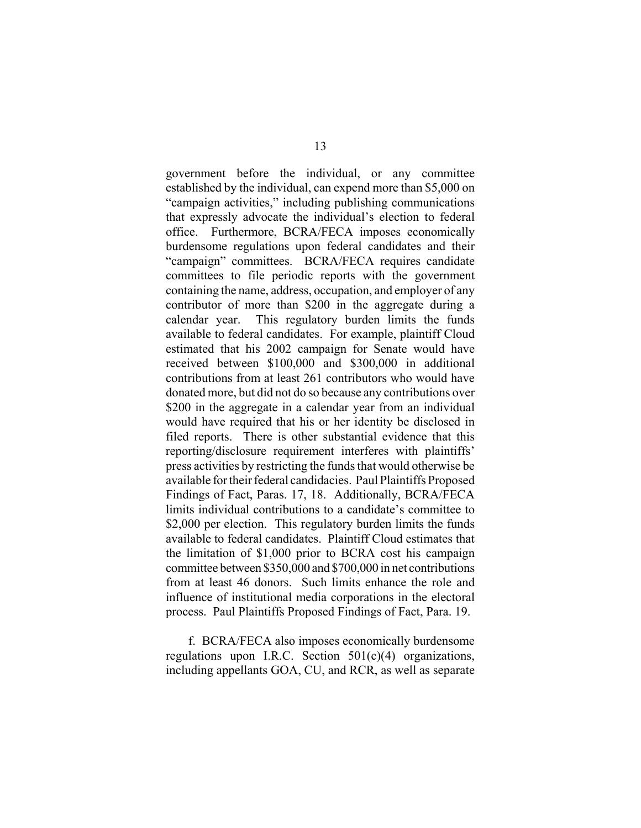government before the individual, or any committee established by the individual, can expend more than \$5,000 on "campaign activities," including publishing communications that expressly advocate the individual's election to federal office. Furthermore, BCRA/FECA imposes economically burdensome regulations upon federal candidates and their "campaign" committees. BCRA/FECA requires candidate committees to file periodic reports with the government containing the name, address, occupation, and employer of any contributor of more than \$200 in the aggregate during a calendar year. This regulatory burden limits the funds available to federal candidates. For example, plaintiff Cloud estimated that his 2002 campaign for Senate would have received between \$100,000 and \$300,000 in additional contributions from at least 261 contributors who would have donated more, but did not do so because any contributions over \$200 in the aggregate in a calendar year from an individual would have required that his or her identity be disclosed in filed reports. There is other substantial evidence that this reporting/disclosure requirement interferes with plaintiffs' press activities by restricting the funds that would otherwise be available for their federal candidacies. Paul Plaintiffs Proposed Findings of Fact, Paras. 17, 18. Additionally, BCRA/FECA limits individual contributions to a candidate's committee to \$2,000 per election. This regulatory burden limits the funds available to federal candidates. Plaintiff Cloud estimates that the limitation of \$1,000 prior to BCRA cost his campaign committee between \$350,000 and \$700,000 in net contributions from at least 46 donors. Such limits enhance the role and influence of institutional media corporations in the electoral process. Paul Plaintiffs Proposed Findings of Fact, Para. 19.

f. BCRA/FECA also imposes economically burdensome regulations upon I.R.C. Section 501(c)(4) organizations, including appellants GOA, CU, and RCR, as well as separate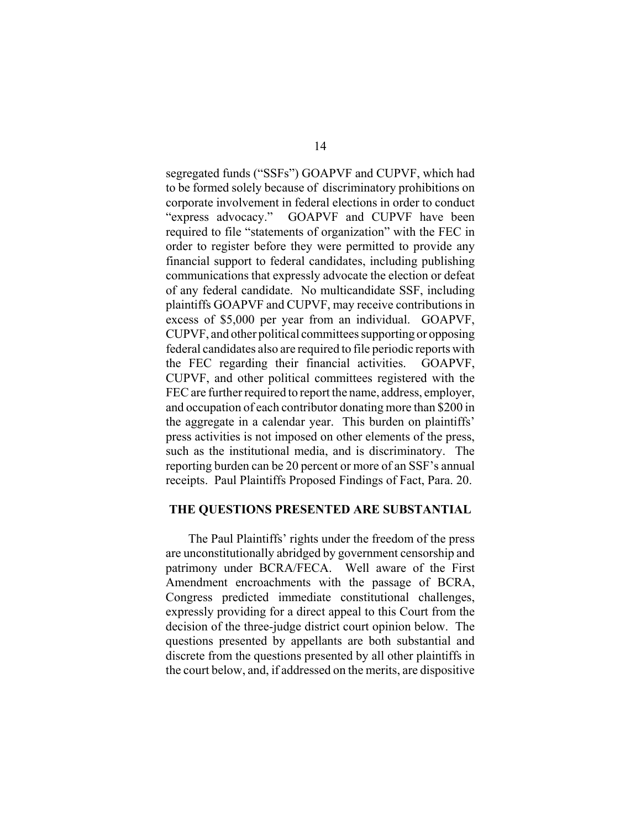segregated funds ("SSFs") GOAPVF and CUPVF, which had to be formed solely because of discriminatory prohibitions on corporate involvement in federal elections in order to conduct "express advocacy." GOAPVF and CUPVF have been required to file "statements of organization" with the FEC in order to register before they were permitted to provide any financial support to federal candidates, including publishing communications that expressly advocate the election or defeat of any federal candidate. No multicandidate SSF, including plaintiffs GOAPVF and CUPVF, may receive contributions in excess of \$5,000 per year from an individual. GOAPVF, CUPVF, and other political committees supporting or opposing federal candidates also are required to file periodic reports with the FEC regarding their financial activities. GOAPVF, CUPVF, and other political committees registered with the FEC are further required to report the name, address, employer, and occupation of each contributor donating more than \$200 in the aggregate in a calendar year. This burden on plaintiffs' press activities is not imposed on other elements of the press, such as the institutional media, and is discriminatory. The reporting burden can be 20 percent or more of an SSF's annual receipts. Paul Plaintiffs Proposed Findings of Fact, Para. 20.

#### **THE QUESTIONS PRESENTED ARE SUBSTANTIAL**

The Paul Plaintiffs' rights under the freedom of the press are unconstitutionally abridged by government censorship and patrimony under BCRA/FECA. Well aware of the First Amendment encroachments with the passage of BCRA, Congress predicted immediate constitutional challenges, expressly providing for a direct appeal to this Court from the decision of the three-judge district court opinion below. The questions presented by appellants are both substantial and discrete from the questions presented by all other plaintiffs in the court below, and, if addressed on the merits, are dispositive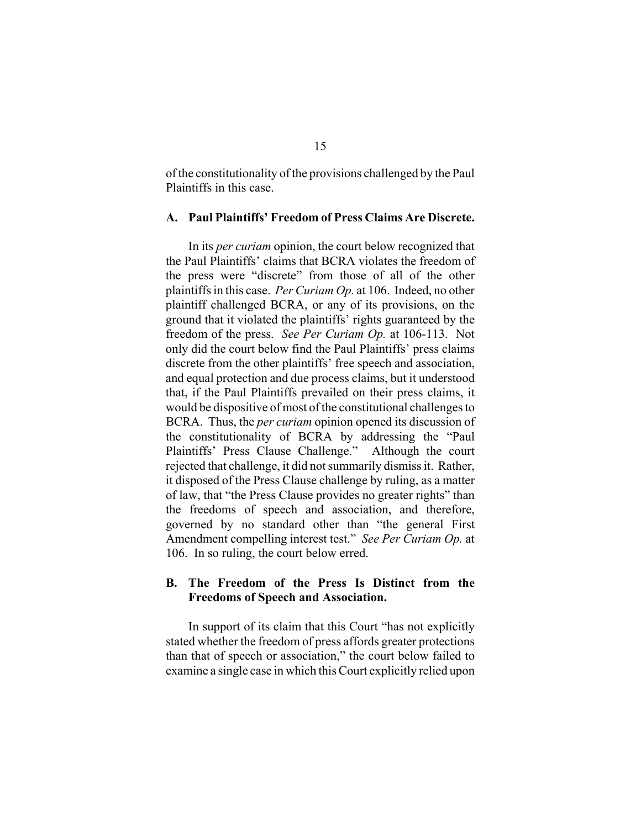of the constitutionality of the provisions challenged by the Paul Plaintiffs in this case.

#### **A. Paul Plaintiffs' Freedom of Press Claims Are Discrete.**

In its *per curiam* opinion, the court below recognized that the Paul Plaintiffs' claims that BCRA violates the freedom of the press were "discrete" from those of all of the other plaintiffs in this case. *Per Curiam Op.* at 106. Indeed, no other plaintiff challenged BCRA, or any of its provisions, on the ground that it violated the plaintiffs' rights guaranteed by the freedom of the press. *See Per Curiam Op.* at 106-113. Not only did the court below find the Paul Plaintiffs' press claims discrete from the other plaintiffs' free speech and association, and equal protection and due process claims, but it understood that, if the Paul Plaintiffs prevailed on their press claims, it would be dispositive of most of the constitutional challenges to BCRA. Thus, the *per curiam* opinion opened its discussion of the constitutionality of BCRA by addressing the "Paul Plaintiffs' Press Clause Challenge." Although the court rejected that challenge, it did not summarily dismiss it. Rather, it disposed of the Press Clause challenge by ruling, as a matter of law, that "the Press Clause provides no greater rights" than the freedoms of speech and association, and therefore, governed by no standard other than "the general First Amendment compelling interest test." *See Per Curiam Op.* at 106. In so ruling, the court below erred.

#### **B. The Freedom of the Press Is Distinct from the Freedoms of Speech and Association.**

In support of its claim that this Court "has not explicitly stated whether the freedom of press affords greater protections than that of speech or association," the court below failed to examine a single case in which this Court explicitly relied upon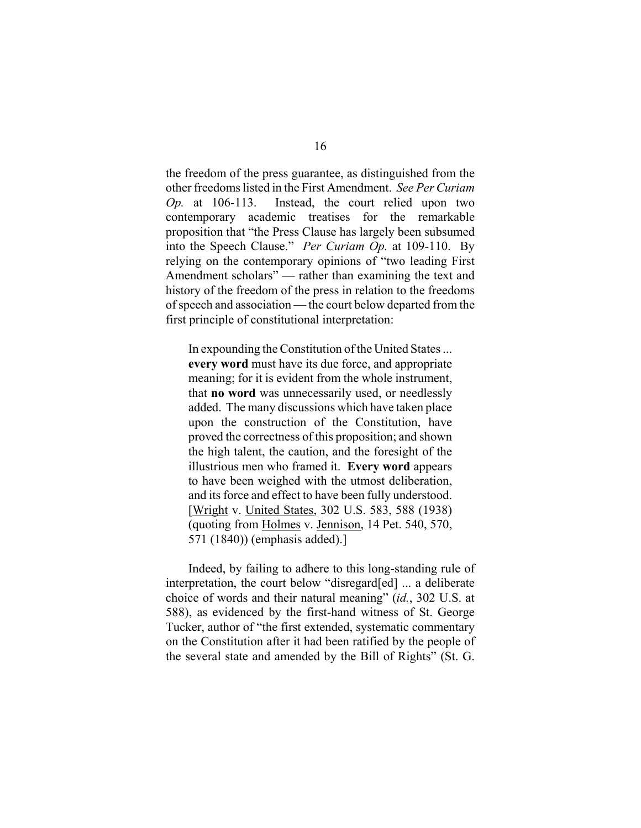the freedom of the press guarantee, as distinguished from the other freedoms listed in the First Amendment. *See Per Curiam Op.* at 106-113. Instead, the court relied upon two contemporary academic treatises for the remarkable proposition that "the Press Clause has largely been subsumed into the Speech Clause." *Per Curiam Op.* at 109-110. By relying on the contemporary opinions of "two leading First Amendment scholars" — rather than examining the text and history of the freedom of the press in relation to the freedoms of speech and association — the court below departed from the first principle of constitutional interpretation:

In expounding the Constitution of the United States ... **every word** must have its due force, and appropriate meaning; for it is evident from the whole instrument, that **no word** was unnecessarily used, or needlessly added. The many discussions which have taken place upon the construction of the Constitution, have proved the correctness of this proposition; and shown the high talent, the caution, and the foresight of the illustrious men who framed it. **Every word** appears to have been weighed with the utmost deliberation, and its force and effect to have been fully understood. [Wright v. United States, 302 U.S. 583, 588 (1938) (quoting from Holmes v. Jennison, 14 Pet. 540, 570, 571 (1840)) (emphasis added).]

Indeed, by failing to adhere to this long-standing rule of interpretation, the court below "disregard[ed] ... a deliberate choice of words and their natural meaning" (*id.*, 302 U.S. at 588), as evidenced by the first-hand witness of St. George Tucker, author of "the first extended, systematic commentary on the Constitution after it had been ratified by the people of the several state and amended by the Bill of Rights" (St. G.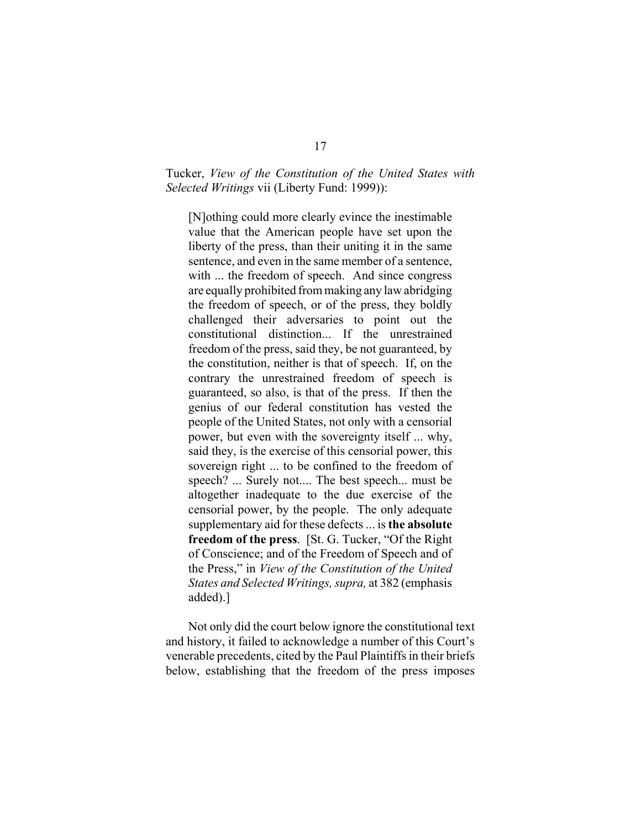#### Tucker, *View of the Constitution of the United States with Selected Writings* vii (Liberty Fund: 1999)):

[N]othing could more clearly evince the inestimable value that the American people have set upon the liberty of the press, than their uniting it in the same sentence, and even in the same member of a sentence, with ... the freedom of speech. And since congress are equally prohibited from making any law abridging the freedom of speech, or of the press, they boldly challenged their adversaries to point out the constitutional distinction... If the unrestrained freedom of the press, said they, be not guaranteed, by the constitution, neither is that of speech. If, on the contrary the unrestrained freedom of speech is guaranteed, so also, is that of the press. If then the genius of our federal constitution has vested the people of the United States, not only with a censorial power, but even with the sovereignty itself ... why, said they, is the exercise of this censorial power, this sovereign right ... to be confined to the freedom of speech? ... Surely not.... The best speech... must be altogether inadequate to the due exercise of the censorial power, by the people. The only adequate supplementary aid for these defects ... is **the absolute freedom of the press**. [St. G. Tucker, "Of the Right of Conscience; and of the Freedom of Speech and of the Press," in *View of the Constitution of the United States and Selected Writings, supra,* at 382 (emphasis added).]

Not only did the court below ignore the constitutional text and history, it failed to acknowledge a number of this Court's venerable precedents, cited by the Paul Plaintiffs in their briefs below, establishing that the freedom of the press imposes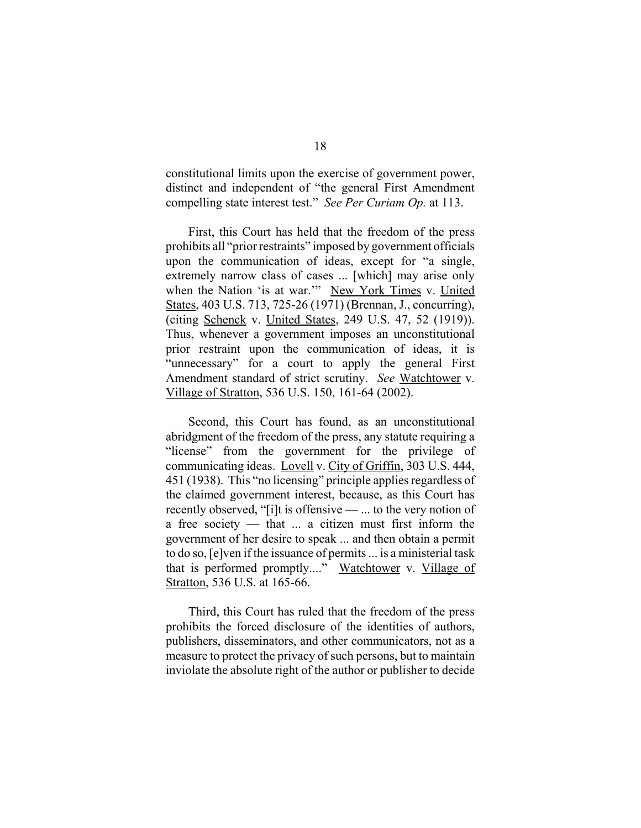constitutional limits upon the exercise of government power, distinct and independent of "the general First Amendment compelling state interest test." *See Per Curiam Op.* at 113.

First, this Court has held that the freedom of the press prohibits all "prior restraints" imposed by government officials upon the communication of ideas, except for "a single, extremely narrow class of cases ... [which] may arise only when the Nation 'is at war.'" New York Times v. United States, 403 U.S. 713, 725-26 (1971) (Brennan, J., concurring), (citing Schenck v. United States, 249 U.S. 47, 52 (1919)). Thus, whenever a government imposes an unconstitutional prior restraint upon the communication of ideas, it is "unnecessary" for a court to apply the general First Amendment standard of strict scrutiny. *See* Watchtower v. Village of Stratton, 536 U.S. 150, 161-64 (2002).

Second, this Court has found, as an unconstitutional abridgment of the freedom of the press, any statute requiring a "license" from the government for the privilege of communicating ideas. Lovell v. City of Griffin, 303 U.S. 444, 451 (1938). This "no licensing" principle applies regardless of the claimed government interest, because, as this Court has recently observed, "[i]t is offensive — ... to the very notion of a free society — that ... a citizen must first inform the government of her desire to speak ... and then obtain a permit to do so, [e]ven if the issuance of permits ... is a ministerial task that is performed promptly...." Watchtower v. Village of Stratton, 536 U.S. at 165-66.

Third, this Court has ruled that the freedom of the press prohibits the forced disclosure of the identities of authors, publishers, disseminators, and other communicators, not as a measure to protect the privacy of such persons, but to maintain inviolate the absolute right of the author or publisher to decide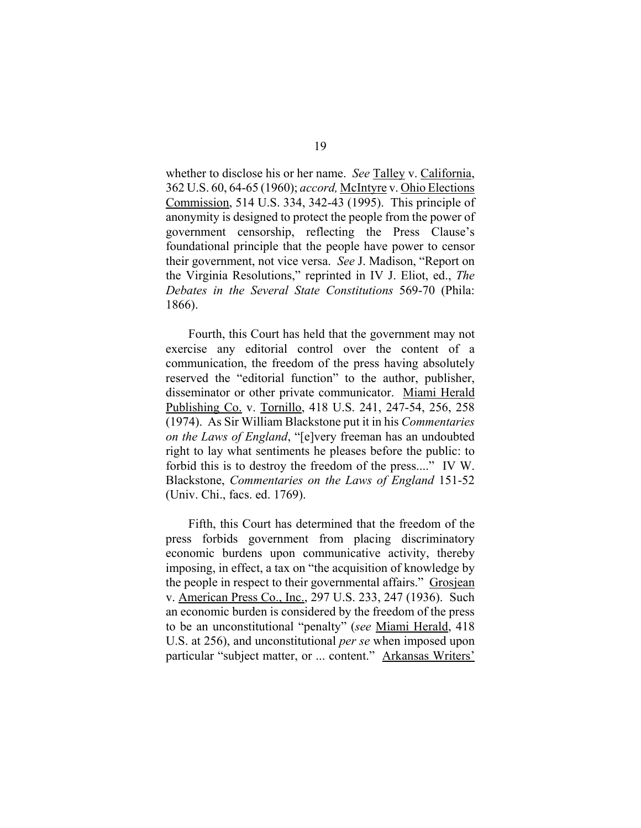whether to disclose his or her name. *See* Talley v. California, 362 U.S. 60, 64-65 (1960); *accord,* McIntyre v. Ohio Elections Commission, 514 U.S. 334, 342-43 (1995). This principle of anonymity is designed to protect the people from the power of government censorship, reflecting the Press Clause's foundational principle that the people have power to censor their government, not vice versa. *See* J. Madison, "Report on the Virginia Resolutions," reprinted in IV J. Eliot, ed., *The Debates in the Several State Constitutions* 569-70 (Phila: 1866).

Fourth, this Court has held that the government may not exercise any editorial control over the content of a communication, the freedom of the press having absolutely reserved the "editorial function" to the author, publisher, disseminator or other private communicator. Miami Herald Publishing Co. v. Tornillo, 418 U.S. 241, 247-54, 256, 258 (1974). As Sir William Blackstone put it in his *Commentaries on the Laws of England*, "[e]very freeman has an undoubted right to lay what sentiments he pleases before the public: to forbid this is to destroy the freedom of the press...." IV W. Blackstone, *Commentaries on the Laws of England* 151-52 (Univ. Chi., facs. ed. 1769).

Fifth, this Court has determined that the freedom of the press forbids government from placing discriminatory economic burdens upon communicative activity, thereby imposing, in effect, a tax on "the acquisition of knowledge by the people in respect to their governmental affairs." Grosjean v. American Press Co., Inc., 297 U.S. 233, 247 (1936). Such an economic burden is considered by the freedom of the press to be an unconstitutional "penalty" (*see* Miami Herald, 418 U.S. at 256), and unconstitutional *per se* when imposed upon particular "subject matter, or ... content." Arkansas Writers'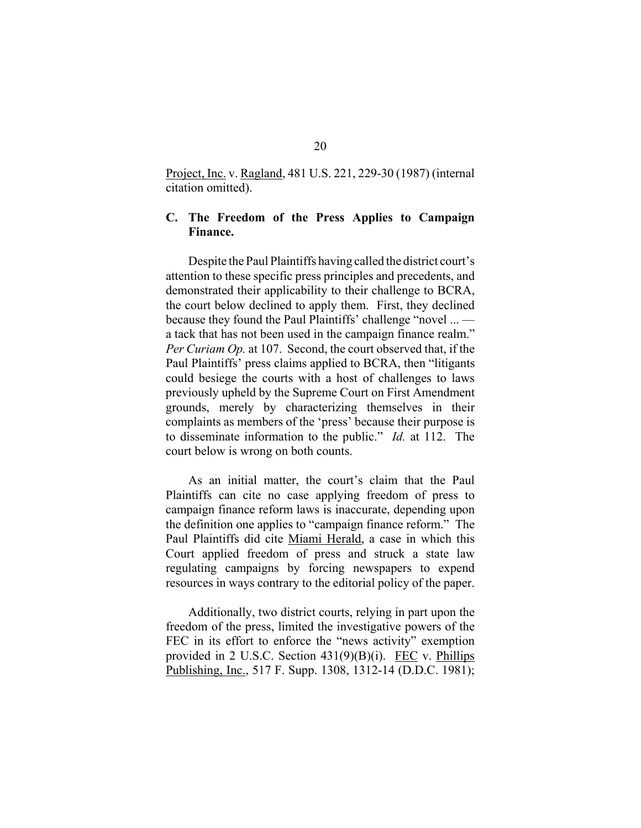Project, Inc. v. Ragland, 481 U.S. 221, 229-30 (1987) (internal citation omitted).

#### **C. The Freedom of the Press Applies to Campaign Finance.**

Despite the Paul Plaintiffs having called the district court's attention to these specific press principles and precedents, and demonstrated their applicability to their challenge to BCRA, the court below declined to apply them. First, they declined because they found the Paul Plaintiffs' challenge "novel ... a tack that has not been used in the campaign finance realm." *Per Curiam Op.* at 107. Second, the court observed that, if the Paul Plaintiffs' press claims applied to BCRA, then "litigants could besiege the courts with a host of challenges to laws previously upheld by the Supreme Court on First Amendment grounds, merely by characterizing themselves in their complaints as members of the 'press' because their purpose is to disseminate information to the public." *Id.* at 112. The court below is wrong on both counts.

As an initial matter, the court's claim that the Paul Plaintiffs can cite no case applying freedom of press to campaign finance reform laws is inaccurate, depending upon the definition one applies to "campaign finance reform." The Paul Plaintiffs did cite Miami Herald, a case in which this Court applied freedom of press and struck a state law regulating campaigns by forcing newspapers to expend resources in ways contrary to the editorial policy of the paper.

Additionally, two district courts, relying in part upon the freedom of the press, limited the investigative powers of the FEC in its effort to enforce the "news activity" exemption provided in 2 U.S.C. Section 431(9)(B)(i). FEC v. Phillips Publishing, Inc., 517 F. Supp. 1308, 1312-14 (D.D.C. 1981);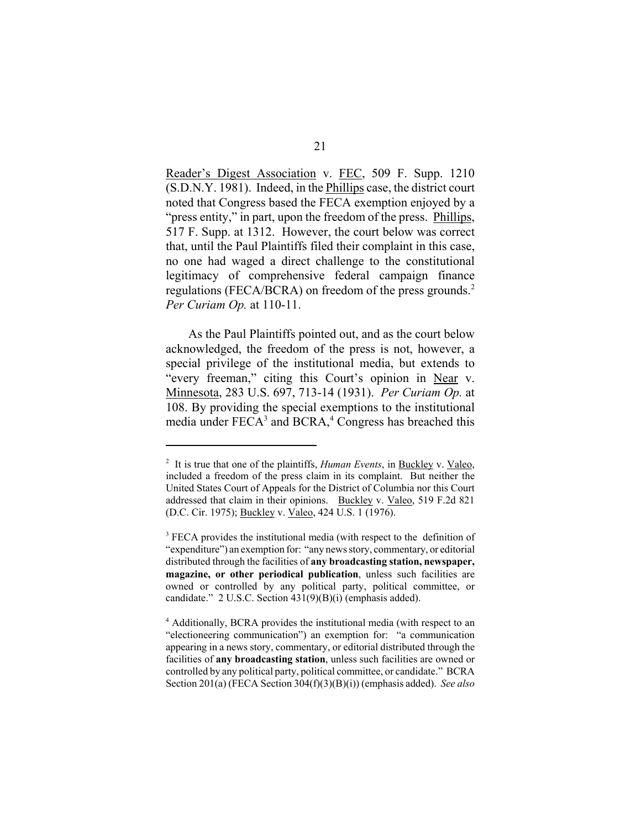Reader's Digest Association v. FEC, 509 F. Supp. 1210 (S.D.N.Y. 1981). Indeed, in the Phillips case, the district court noted that Congress based the FECA exemption enjoyed by a "press entity," in part, upon the freedom of the press. Phillips, 517 F. Supp. at 1312. However, the court below was correct that, until the Paul Plaintiffs filed their complaint in this case, no one had waged a direct challenge to the constitutional legitimacy of comprehensive federal campaign finance regulations (FECA/BCRA) on freedom of the press grounds.<sup>2</sup> *Per Curiam Op.* at 110-11.

As the Paul Plaintiffs pointed out, and as the court below acknowledged, the freedom of the press is not, however, a special privilege of the institutional media, but extends to "every freeman," citing this Court's opinion in Near v. Minnesota, 283 U.S. 697, 713-14 (1931). *Per Curiam Op.* at 108. By providing the special exemptions to the institutional media under  $FECA<sup>3</sup>$  and  $BCRA<sup>4</sup>$ . Congress has breached this

<sup>2</sup> It is true that one of the plaintiffs, *Human Events*, in Buckley v. Valeo, included a freedom of the press claim in its complaint. But neither the United States Court of Appeals for the District of Columbia nor this Court addressed that claim in their opinions. Buckley v. Valeo, 519 F.2d 821 (D.C. Cir. 1975); Buckley v. Valeo, 424 U.S. 1 (1976).

<sup>&</sup>lt;sup>3</sup> FECA provides the institutional media (with respect to the definition of "expenditure") an exemption for: "any news story, commentary, or editorial distributed through the facilities of **any broadcasting station, newspaper, magazine, or other periodical publication**, unless such facilities are owned or controlled by any political party, political committee, or candidate." 2 U.S.C. Section 431(9)(B)(i) (emphasis added).

<sup>4</sup> Additionally, BCRA provides the institutional media (with respect to an "electioneering communication") an exemption for: "a communication appearing in a news story, commentary, or editorial distributed through the facilities of **any broadcasting station**, unless such facilities are owned or controlled by any political party, political committee, or candidate." BCRA Section 201(a) (FECA Section 304(f)(3)(B)(i)) (emphasis added). *See also*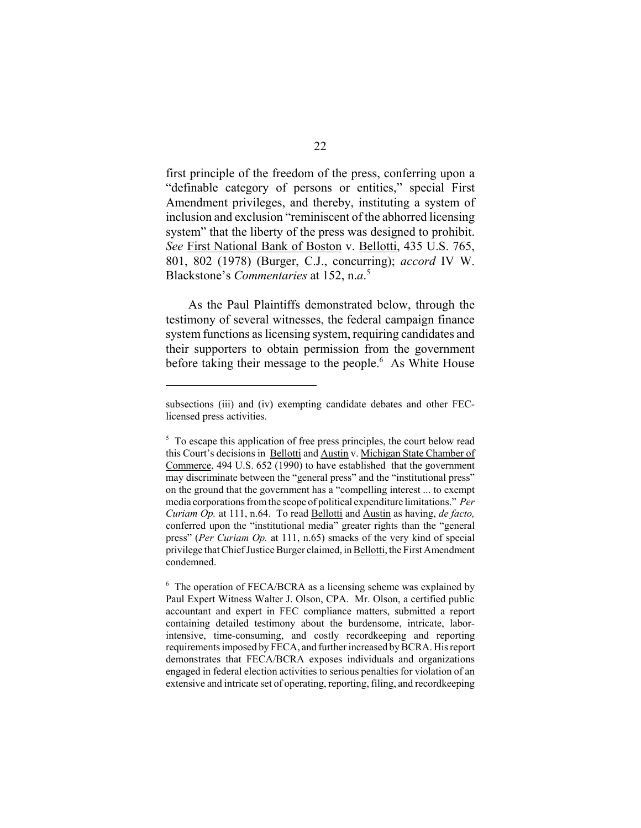first principle of the freedom of the press, conferring upon a "definable category of persons or entities," special First Amendment privileges, and thereby, instituting a system of inclusion and exclusion "reminiscent of the abhorred licensing system" that the liberty of the press was designed to prohibit. *See* First National Bank of Boston v. Bellotti, 435 U.S. 765, 801, 802 (1978) (Burger, C.J., concurring); *accord* IV W. Blackstone's *Commentaries* at 152, n.*a*. 5

As the Paul Plaintiffs demonstrated below, through the testimony of several witnesses, the federal campaign finance system functions as licensing system, requiring candidates and their supporters to obtain permission from the government before taking their message to the people.<sup>6</sup> As White House

subsections (iii) and (iv) exempting candidate debates and other FEClicensed press activities.

<sup>&</sup>lt;sup>5</sup> To escape this application of free press principles, the court below read this Court's decisions in Bellotti and Austin v. Michigan State Chamber of Commerce, 494 U.S. 652 (1990) to have established that the government may discriminate between the "general press" and the "institutional press" on the ground that the government has a "compelling interest ... to exempt media corporations from the scope of political expenditure limitations." *Per Curiam Op.* at 111, n.64. To read Bellotti and Austin as having, *de facto,*  conferred upon the "institutional media" greater rights than the "general press" (*Per Curiam Op.* at 111, n.65) smacks of the very kind of special privilege that Chief Justice Burger claimed, in Bellotti, the First Amendment condemned.

<sup>&</sup>lt;sup>6</sup> The operation of FECA/BCRA as a licensing scheme was explained by Paul Expert Witness Walter J. Olson, CPA. Mr. Olson, a certified public accountant and expert in FEC compliance matters, submitted a report containing detailed testimony about the burdensome, intricate, laborintensive, time-consuming, and costly recordkeeping and reporting requirements imposed by FECA, and further increased by BCRA. His report demonstrates that FECA/BCRA exposes individuals and organizations engaged in federal election activities to serious penalties for violation of an extensive and intricate set of operating, reporting, filing, and recordkeeping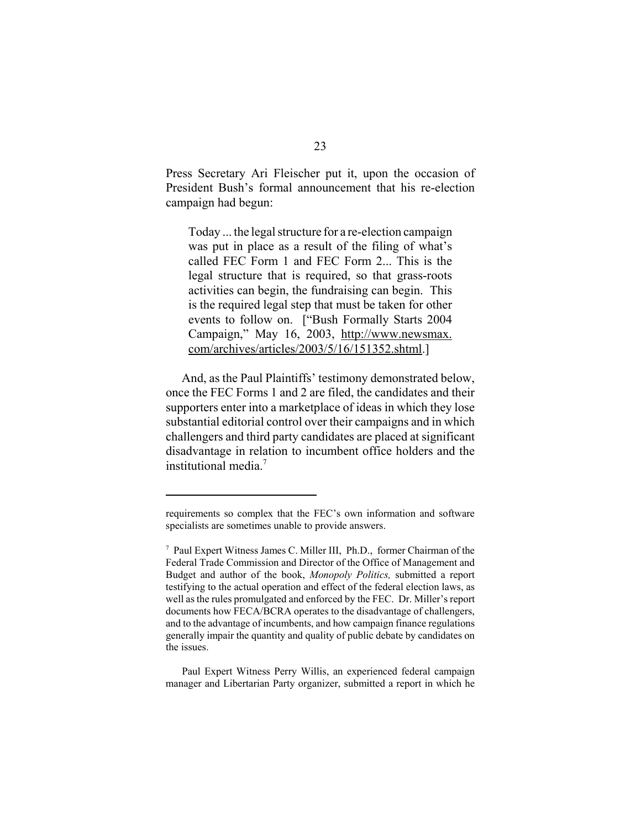Press Secretary Ari Fleischer put it, upon the occasion of President Bush's formal announcement that his re-election campaign had begun:

Today ... the legal structure for a re-election campaign was put in place as a result of the filing of what's called FEC Form 1 and FEC Form 2... This is the legal structure that is required, so that grass-roots activities can begin, the fundraising can begin. This is the required legal step that must be taken for other events to follow on. ["Bush Formally Starts 2004 Campaign," May 16, 2003, http://www.newsmax. com/archives/articles/2003/5/16/151352.shtml.]

And, as the Paul Plaintiffs' testimony demonstrated below, once the FEC Forms 1 and 2 are filed, the candidates and their supporters enter into a marketplace of ideas in which they lose substantial editorial control over their campaigns and in which challengers and third party candidates are placed at significant disadvantage in relation to incumbent office holders and the institutional media.7

Paul Expert Witness Perry Willis, an experienced federal campaign manager and Libertarian Party organizer, submitted a report in which he

requirements so complex that the FEC's own information and software specialists are sometimes unable to provide answers.

<sup>7</sup> Paul Expert Witness James C. Miller III, Ph.D., former Chairman of the Federal Trade Commission and Director of the Office of Management and Budget and author of the book, *Monopoly Politics,* submitted a report testifying to the actual operation and effect of the federal election laws, as well as the rules promulgated and enforced by the FEC. Dr. Miller's report documents how FECA/BCRA operates to the disadvantage of challengers, and to the advantage of incumbents, and how campaign finance regulations generally impair the quantity and quality of public debate by candidates on the issues.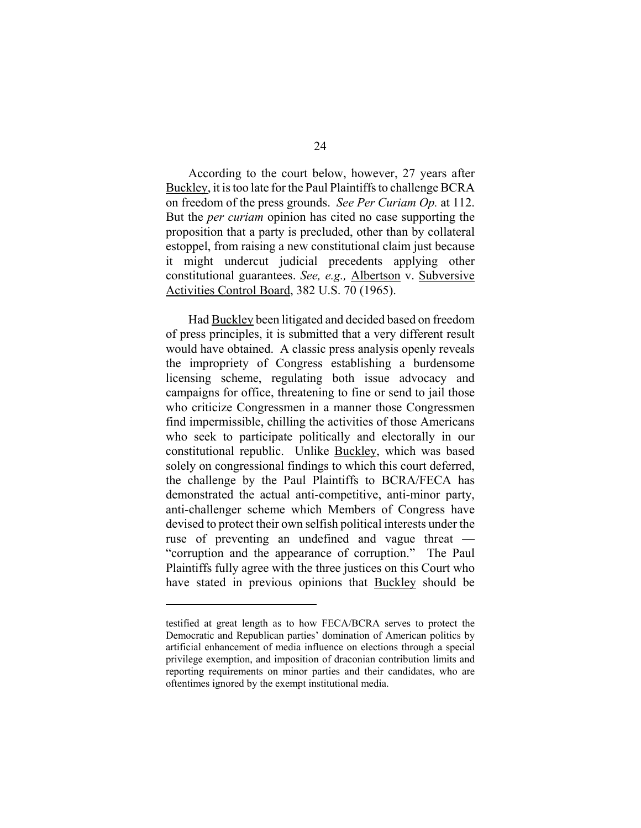According to the court below, however, 27 years after Buckley, it is too late for the Paul Plaintiffs to challenge BCRA on freedom of the press grounds. *See Per Curiam Op.* at 112. But the *per curiam* opinion has cited no case supporting the proposition that a party is precluded, other than by collateral estoppel, from raising a new constitutional claim just because it might undercut judicial precedents applying other constitutional guarantees. *See, e.g.,* Albertson v. Subversive Activities Control Board, 382 U.S. 70 (1965).

Had Buckley been litigated and decided based on freedom of press principles, it is submitted that a very different result would have obtained. A classic press analysis openly reveals the impropriety of Congress establishing a burdensome licensing scheme, regulating both issue advocacy and campaigns for office, threatening to fine or send to jail those who criticize Congressmen in a manner those Congressmen find impermissible, chilling the activities of those Americans who seek to participate politically and electorally in our constitutional republic. Unlike Buckley, which was based solely on congressional findings to which this court deferred, the challenge by the Paul Plaintiffs to BCRA/FECA has demonstrated the actual anti-competitive, anti-minor party, anti-challenger scheme which Members of Congress have devised to protect their own selfish political interests under the ruse of preventing an undefined and vague threat — "corruption and the appearance of corruption." The Paul Plaintiffs fully agree with the three justices on this Court who have stated in previous opinions that **Buckley** should be

testified at great length as to how FECA/BCRA serves to protect the Democratic and Republican parties' domination of American politics by artificial enhancement of media influence on elections through a special privilege exemption, and imposition of draconian contribution limits and reporting requirements on minor parties and their candidates, who are oftentimes ignored by the exempt institutional media.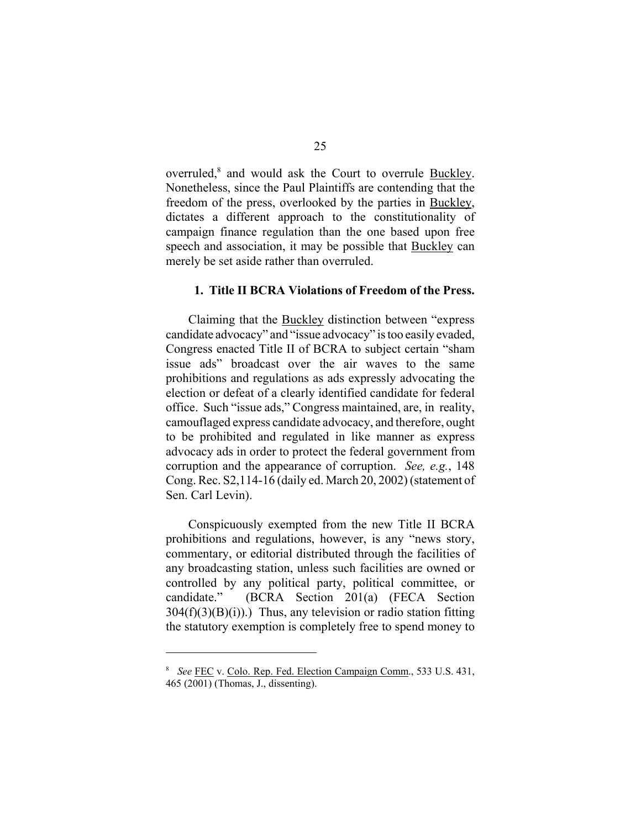overruled,<sup>8</sup> and would ask the Court to overrule **Buckley**. Nonetheless, since the Paul Plaintiffs are contending that the freedom of the press, overlooked by the parties in Buckley, dictates a different approach to the constitutionality of campaign finance regulation than the one based upon free speech and association, it may be possible that Buckley can merely be set aside rather than overruled.

#### **1. Title II BCRA Violations of Freedom of the Press.**

Claiming that the Buckley distinction between "express candidate advocacy" and "issue advocacy" is too easily evaded, Congress enacted Title II of BCRA to subject certain "sham issue ads" broadcast over the air waves to the same prohibitions and regulations as ads expressly advocating the election or defeat of a clearly identified candidate for federal office. Such "issue ads," Congress maintained, are, in reality, camouflaged express candidate advocacy, and therefore, ought to be prohibited and regulated in like manner as express advocacy ads in order to protect the federal government from corruption and the appearance of corruption. *See, e.g.*, 148 Cong. Rec. S2,114-16 (daily ed. March 20, 2002) (statement of Sen. Carl Levin).

Conspicuously exempted from the new Title II BCRA prohibitions and regulations, however, is any "news story, commentary, or editorial distributed through the facilities of any broadcasting station, unless such facilities are owned or controlled by any political party, political committee, or candidate." (BCRA Section 201(a) (FECA Section  $304(f)(3)(B)(i)$ .) Thus, any television or radio station fitting the statutory exemption is completely free to spend money to

<sup>8</sup>*See* FEC v. Colo. Rep. Fed. Election Campaign Comm., 533 U.S. 431, 465 (2001) (Thomas, J., dissenting).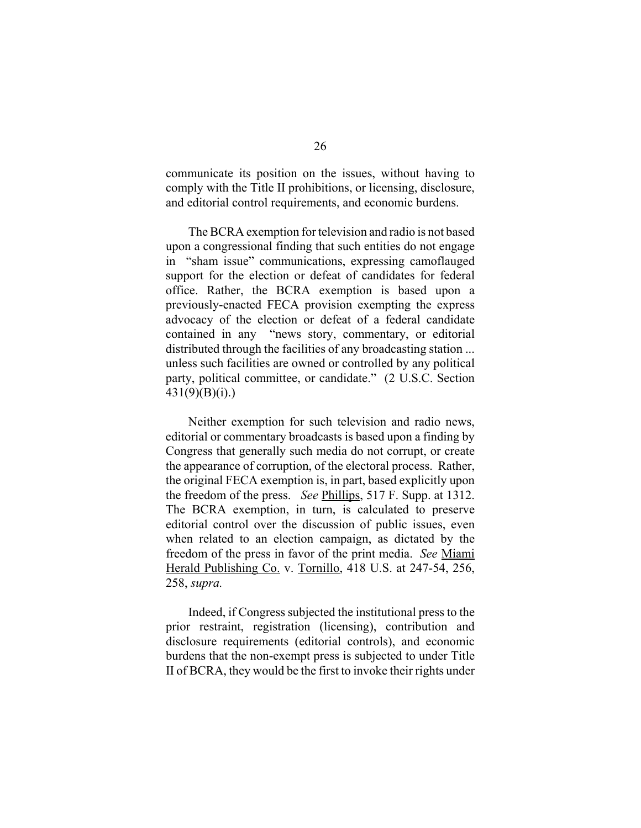communicate its position on the issues, without having to comply with the Title II prohibitions, or licensing, disclosure, and editorial control requirements, and economic burdens.

The BCRA exemption for television and radio is not based upon a congressional finding that such entities do not engage in "sham issue" communications, expressing camoflauged support for the election or defeat of candidates for federal office. Rather, the BCRA exemption is based upon a previously-enacted FECA provision exempting the express advocacy of the election or defeat of a federal candidate contained in any "news story, commentary, or editorial distributed through the facilities of any broadcasting station ... unless such facilities are owned or controlled by any political party, political committee, or candidate." (2 U.S.C. Section  $431(9)(B)(i)$ .)

Neither exemption for such television and radio news, editorial or commentary broadcasts is based upon a finding by Congress that generally such media do not corrupt, or create the appearance of corruption, of the electoral process. Rather, the original FECA exemption is, in part, based explicitly upon the freedom of the press. *See* Phillips, 517 F. Supp. at 1312. The BCRA exemption, in turn, is calculated to preserve editorial control over the discussion of public issues, even when related to an election campaign, as dictated by the freedom of the press in favor of the print media. *See* Miami Herald Publishing Co. v. Tornillo, 418 U.S. at 247-54, 256, 258, *supra.* 

Indeed, if Congress subjected the institutional press to the prior restraint, registration (licensing), contribution and disclosure requirements (editorial controls), and economic burdens that the non-exempt press is subjected to under Title II of BCRA, they would be the first to invoke their rights under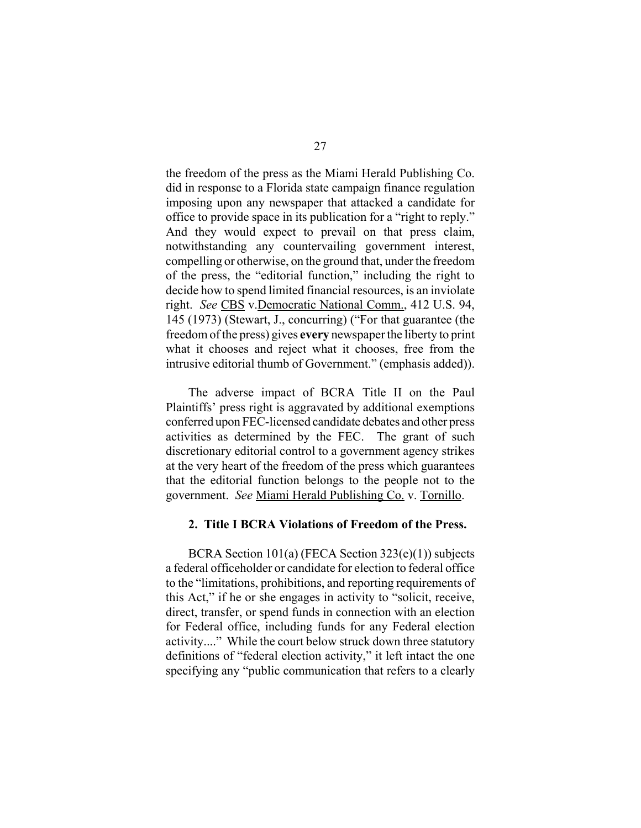the freedom of the press as the Miami Herald Publishing Co. did in response to a Florida state campaign finance regulation imposing upon any newspaper that attacked a candidate for office to provide space in its publication for a "right to reply." And they would expect to prevail on that press claim, notwithstanding any countervailing government interest, compelling or otherwise, on the ground that, under the freedom of the press, the "editorial function," including the right to decide how to spend limited financial resources, is an inviolate right. *See* CBS v.Democratic National Comm., 412 U.S. 94, 145 (1973) (Stewart, J., concurring) ("For that guarantee (the freedom of the press) gives **every** newspaper the liberty to print what it chooses and reject what it chooses, free from the intrusive editorial thumb of Government." (emphasis added)).

The adverse impact of BCRA Title II on the Paul Plaintiffs' press right is aggravated by additional exemptions conferred upon FEC-licensed candidate debates and other press activities as determined by the FEC. The grant of such discretionary editorial control to a government agency strikes at the very heart of the freedom of the press which guarantees that the editorial function belongs to the people not to the government. *See* Miami Herald Publishing Co. v. Tornillo.

#### **2. Title I BCRA Violations of Freedom of the Press.**

BCRA Section 101(a) (FECA Section 323(e)(1)) subjects a federal officeholder or candidate for election to federal office to the "limitations, prohibitions, and reporting requirements of this Act," if he or she engages in activity to "solicit, receive, direct, transfer, or spend funds in connection with an election for Federal office, including funds for any Federal election activity...." While the court below struck down three statutory definitions of "federal election activity," it left intact the one specifying any "public communication that refers to a clearly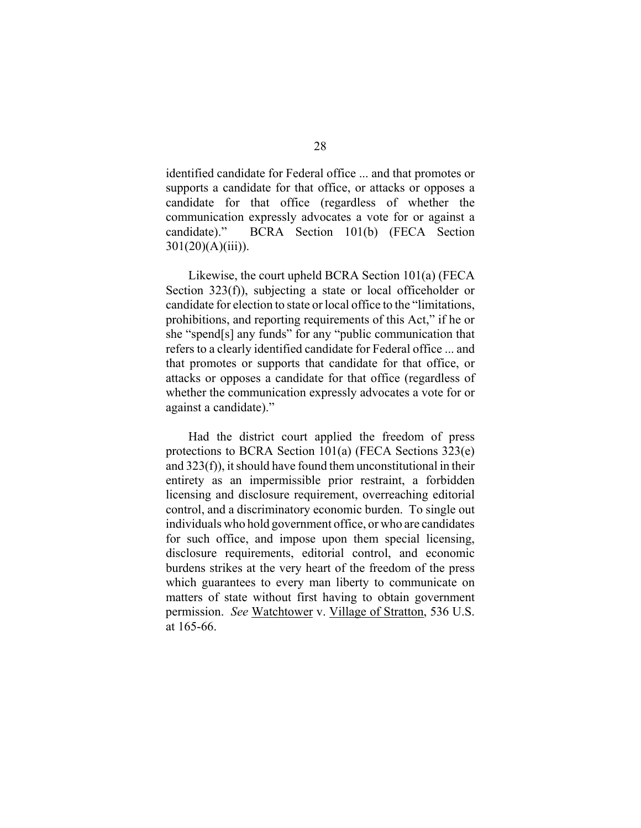identified candidate for Federal office ... and that promotes or supports a candidate for that office, or attacks or opposes a candidate for that office (regardless of whether the communication expressly advocates a vote for or against a candidate)." BCRA Section 101(b) (FECA Section 301(20)(A)(iii)).

Likewise, the court upheld BCRA Section 101(a) (FECA Section 323(f)), subjecting a state or local officeholder or candidate for election to state or local office to the "limitations, prohibitions, and reporting requirements of this Act," if he or she "spend[s] any funds" for any "public communication that refers to a clearly identified candidate for Federal office ... and that promotes or supports that candidate for that office, or attacks or opposes a candidate for that office (regardless of whether the communication expressly advocates a vote for or against a candidate)."

Had the district court applied the freedom of press protections to BCRA Section 101(a) (FECA Sections 323(e) and 323(f)), it should have found them unconstitutional in their entirety as an impermissible prior restraint, a forbidden licensing and disclosure requirement, overreaching editorial control, and a discriminatory economic burden. To single out individuals who hold government office, or who are candidates for such office, and impose upon them special licensing, disclosure requirements, editorial control, and economic burdens strikes at the very heart of the freedom of the press which guarantees to every man liberty to communicate on matters of state without first having to obtain government permission. *See* Watchtower v. Village of Stratton, 536 U.S. at 165-66.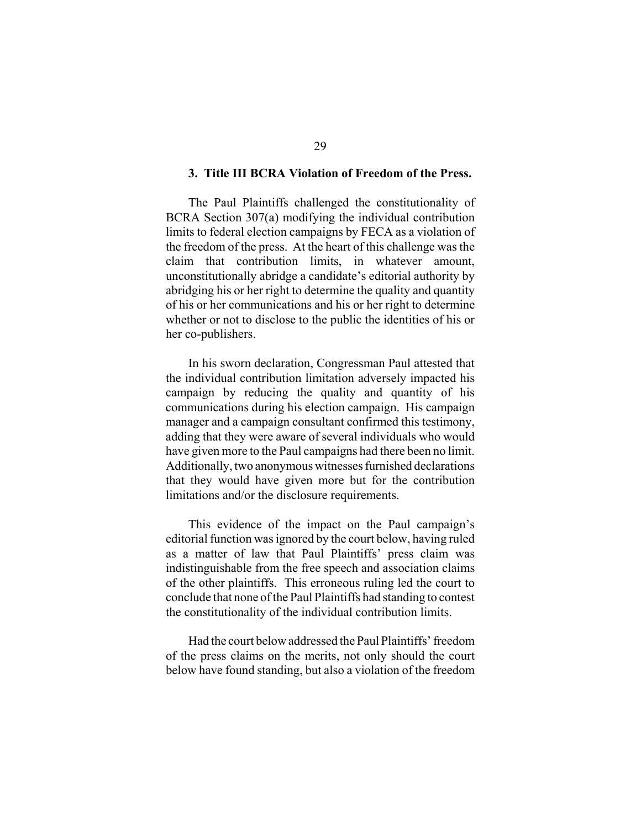#### **3. Title III BCRA Violation of Freedom of the Press.**

The Paul Plaintiffs challenged the constitutionality of BCRA Section 307(a) modifying the individual contribution limits to federal election campaigns by FECA as a violation of the freedom of the press. At the heart of this challenge was the claim that contribution limits, in whatever amount, unconstitutionally abridge a candidate's editorial authority by abridging his or her right to determine the quality and quantity of his or her communications and his or her right to determine whether or not to disclose to the public the identities of his or her co-publishers.

In his sworn declaration, Congressman Paul attested that the individual contribution limitation adversely impacted his campaign by reducing the quality and quantity of his communications during his election campaign. His campaign manager and a campaign consultant confirmed this testimony, adding that they were aware of several individuals who would have given more to the Paul campaigns had there been no limit. Additionally, two anonymous witnesses furnished declarations that they would have given more but for the contribution limitations and/or the disclosure requirements.

This evidence of the impact on the Paul campaign's editorial function was ignored by the court below, having ruled as a matter of law that Paul Plaintiffs' press claim was indistinguishable from the free speech and association claims of the other plaintiffs. This erroneous ruling led the court to conclude that none of the Paul Plaintiffs had standing to contest the constitutionality of the individual contribution limits.

Had the court below addressed the Paul Plaintiffs' freedom of the press claims on the merits, not only should the court below have found standing, but also a violation of the freedom